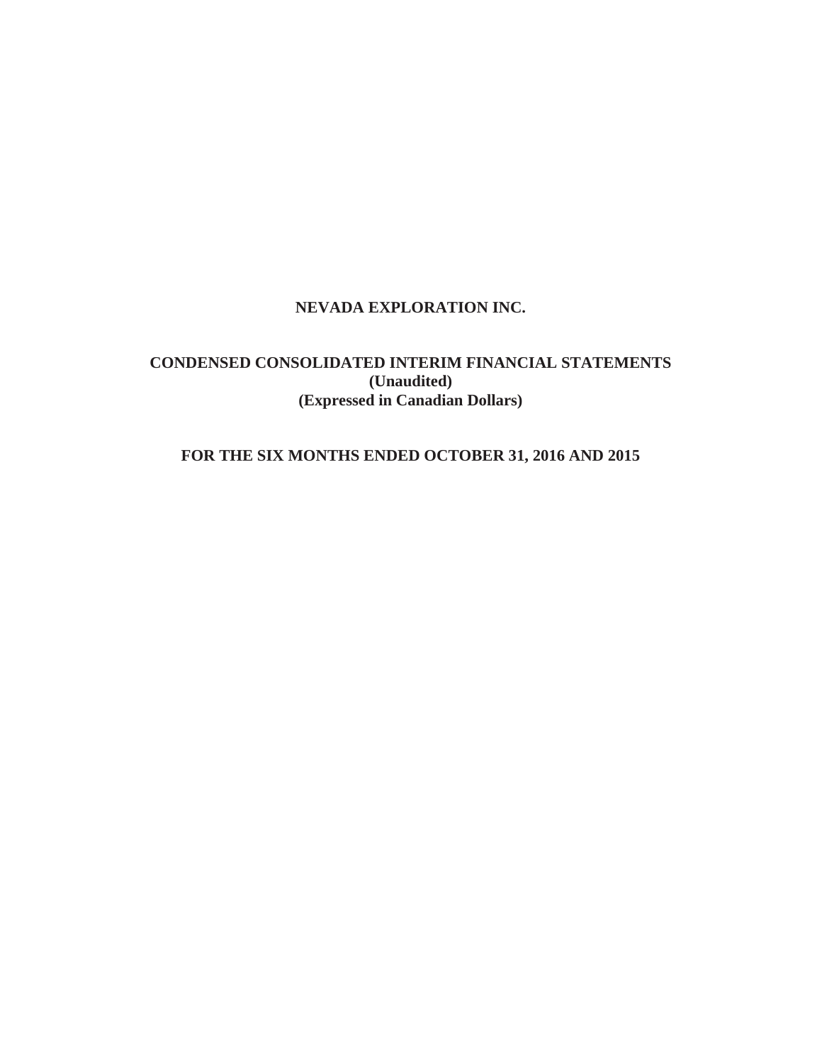# **NEVADA EXPLORATION INC.**

# **CONDENSED CONSOLIDATED INTERIM FINANCIAL STATEMENTS (Unaudited) (Expressed in Canadian Dollars)**

# **FOR THE SIX MONTHS ENDED OCTOBER 31, 2016 AND 2015**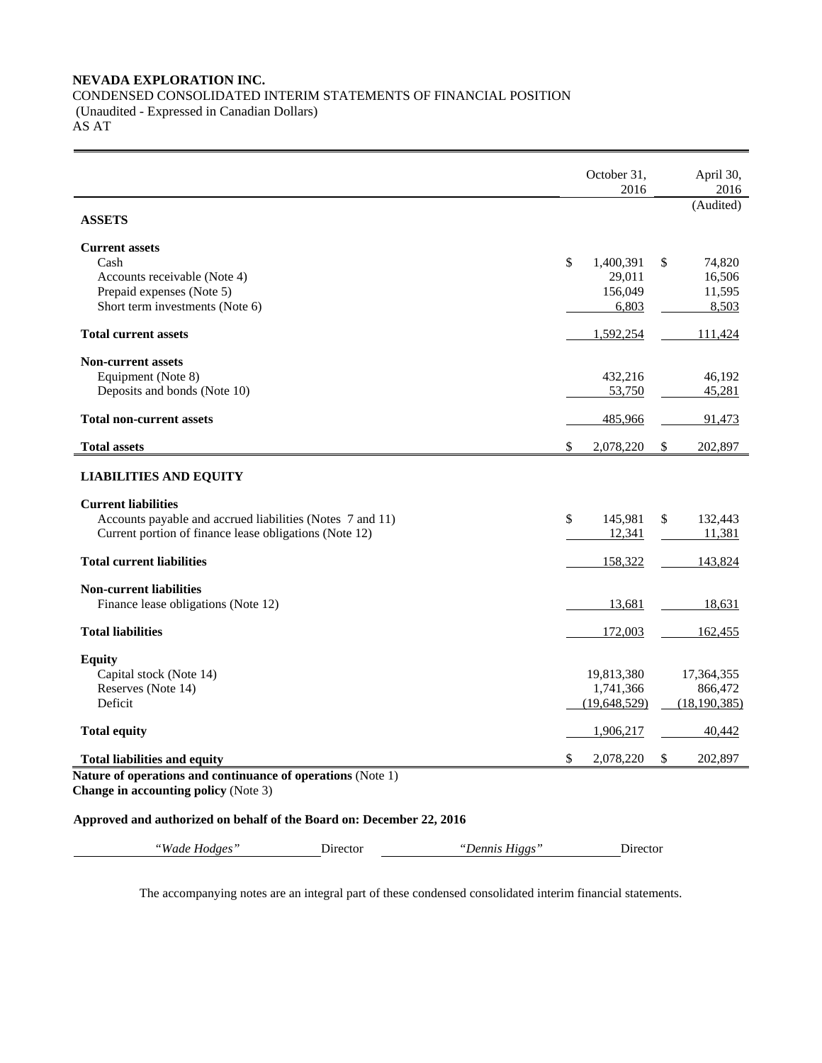### **NEVADA EXPLORATION INC.**  CONDENSED CONSOLIDATED INTERIM STATEMENTS OF FINANCIAL POSITION (Unaudited - Expressed in Canadian Dollars) AS AT

|                                                                                                            | October 31,<br>2016 | April 30,<br>2016 |
|------------------------------------------------------------------------------------------------------------|---------------------|-------------------|
| <b>ASSETS</b>                                                                                              |                     | (Audited)         |
| <b>Current assets</b>                                                                                      |                     |                   |
| Cash                                                                                                       | \$<br>1,400,391     | \$<br>74,820      |
| Accounts receivable (Note 4)                                                                               | 29,011              | 16,506            |
| Prepaid expenses (Note 5)                                                                                  | 156,049             | 11,595            |
| Short term investments (Note 6)                                                                            | 6,803               | 8,503             |
| <b>Total current assets</b>                                                                                | 1,592,254           | 111,424           |
| <b>Non-current assets</b>                                                                                  |                     |                   |
| Equipment (Note 8)                                                                                         | 432,216             | 46,192            |
| Deposits and bonds (Note 10)                                                                               | 53,750              | 45,281            |
| <b>Total non-current assets</b>                                                                            | 485,966             | 91,473            |
| <b>Total assets</b>                                                                                        | \$<br>2,078,220     | \$<br>202,897     |
| <b>LIABILITIES AND EQUITY</b><br><b>Current liabilities</b>                                                |                     |                   |
| Accounts payable and accrued liabilities (Notes 7 and 11)                                                  | \$<br>145,981       | \$<br>132,443     |
| Current portion of finance lease obligations (Note 12)                                                     | 12,341              | 11,381            |
| <b>Total current liabilities</b>                                                                           | 158,322             | 143,824           |
| <b>Non-current liabilities</b>                                                                             |                     |                   |
| Finance lease obligations (Note 12)                                                                        | 13,681              | 18,631            |
| <b>Total liabilities</b>                                                                                   | 172,003             | 162,455           |
| <b>Equity</b>                                                                                              |                     |                   |
| Capital stock (Note 14)                                                                                    | 19,813,380          | 17,364,355        |
| Reserves (Note 14)                                                                                         | 1,741,366           | 866,472           |
| Deficit                                                                                                    | (19,648,529)        | (18, 190, 385)    |
| <b>Total equity</b>                                                                                        | 1,906,217           | 40,442            |
| <b>Total liabilities and equity</b>                                                                        | \$<br>2,078,220     | \$<br>202,897     |
| Nature of operations and continuance of operations (Note 1)<br><b>Change in accounting policy (Note 3)</b> |                     |                   |

# **Approved and authorized on behalf of the Board on: December 22, 2016**

*"Wade Hodges"* Director *"Dennis Higgs"* Director

The accompanying notes are an integral part of these condensed consolidated interim financial statements.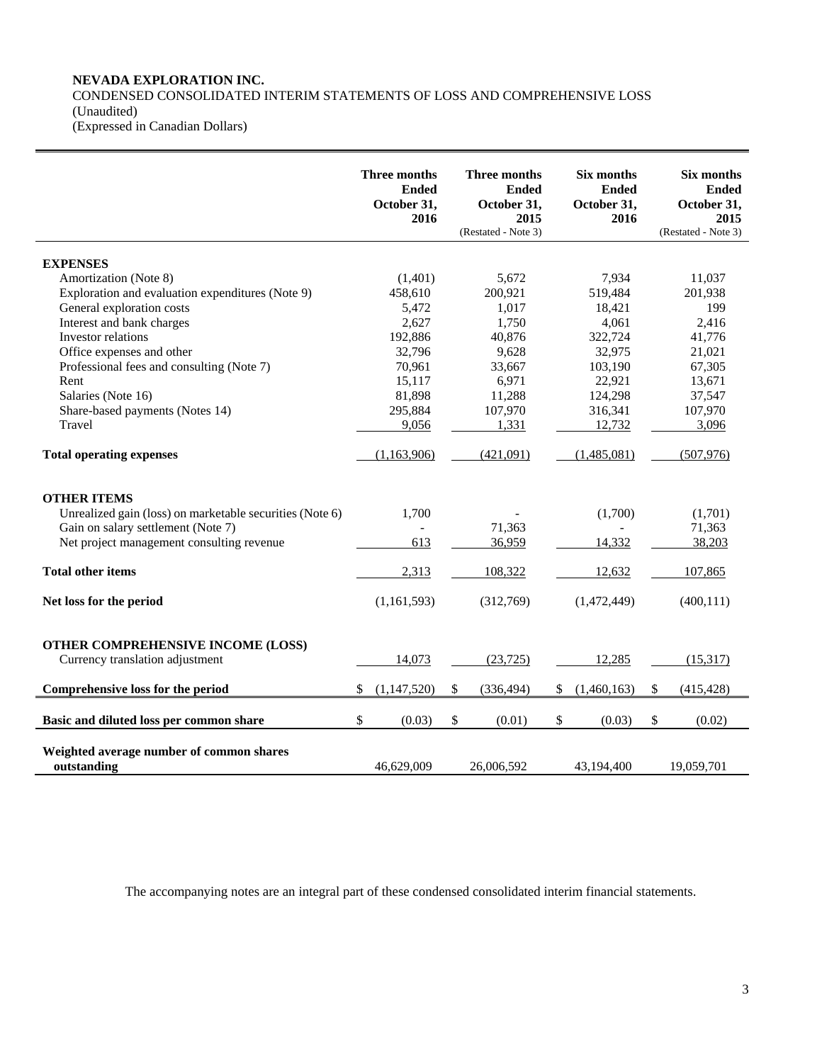# **NEVADA EXPLORATION INC.**

### CONDENSED CONSOLIDATED INTERIM STATEMENTS OF LOSS AND COMPREHENSIVE LOSS (Unaudited) (Expressed in Canadian Dollars)

|                                                          | Three months<br><b>Ended</b><br>October 31,<br>2016 | Three months<br><b>Ended</b><br>October 31,<br>2015<br>(Restated - Note 3) | Six months<br><b>Ended</b><br>October 31,<br>2016 | Six months<br><b>Ended</b><br>October 31,<br>2015<br>(Restated - Note 3) |
|----------------------------------------------------------|-----------------------------------------------------|----------------------------------------------------------------------------|---------------------------------------------------|--------------------------------------------------------------------------|
| <b>EXPENSES</b>                                          |                                                     |                                                                            |                                                   |                                                                          |
| Amortization (Note 8)                                    | (1,401)                                             | 5.672                                                                      | 7,934                                             | 11,037                                                                   |
| Exploration and evaluation expenditures (Note 9)         | 458.610                                             | 200,921                                                                    | 519,484                                           | 201,938                                                                  |
| General exploration costs                                | 5,472                                               | 1,017                                                                      | 18,421                                            | 199                                                                      |
| Interest and bank charges                                | 2,627                                               | 1,750                                                                      | 4,061                                             | 2,416                                                                    |
| Investor relations                                       | 192,886                                             | 40,876                                                                     | 322,724                                           | 41,776                                                                   |
| Office expenses and other                                | 32,796                                              | 9,628                                                                      | 32,975                                            | 21,021                                                                   |
| Professional fees and consulting (Note 7)                | 70,961                                              | 33,667                                                                     | 103,190                                           | 67,305                                                                   |
| Rent                                                     | 15,117                                              | 6,971                                                                      | 22,921                                            | 13,671                                                                   |
| Salaries (Note 16)                                       | 81,898                                              | 11,288                                                                     | 124,298                                           | 37,547                                                                   |
| Share-based payments (Notes 14)                          | 295,884                                             | 107,970                                                                    | 316,341                                           | 107,970                                                                  |
| Travel                                                   | 9,056                                               | 1,331                                                                      | 12,732                                            | 3,096                                                                    |
| <b>Total operating expenses</b>                          | (1,163,906)                                         | (421,091)                                                                  | (1,485,081)                                       | (507, 976)                                                               |
| <b>OTHER ITEMS</b>                                       |                                                     |                                                                            |                                                   |                                                                          |
| Unrealized gain (loss) on marketable securities (Note 6) | 1,700                                               |                                                                            | (1,700)                                           | (1,701)                                                                  |
| Gain on salary settlement (Note 7)                       |                                                     | 71,363                                                                     |                                                   | 71,363                                                                   |
| Net project management consulting revenue                | 613                                                 | 36,959                                                                     | 14,332                                            | 38,203                                                                   |
| <b>Total other items</b>                                 | 2,313                                               | 108,322                                                                    | 12,632                                            | 107,865                                                                  |
| Net loss for the period                                  | (1,161,593)                                         | (312,769)                                                                  | (1,472,449)                                       | (400, 111)                                                               |
| OTHER COMPREHENSIVE INCOME (LOSS)                        |                                                     |                                                                            |                                                   |                                                                          |
| Currency translation adjustment                          | 14,073                                              | (23, 725)                                                                  | 12,285                                            | (15,317)                                                                 |
| Comprehensive loss for the period                        | (1,147,520)<br>\$                                   | \$<br>(336, 494)                                                           | \$<br>(1,460,163)                                 | \$<br>(415, 428)                                                         |
| Basic and diluted loss per common share                  | \$<br>(0.03)                                        | \$<br>(0.01)                                                               | \$<br>(0.03)                                      | \$<br>(0.02)                                                             |
| Weighted average number of common shares<br>outstanding  | 46.629.009                                          | 26,006,592                                                                 | 43.194.400                                        | 19.059.701                                                               |

The accompanying notes are an integral part of these condensed consolidated interim financial statements.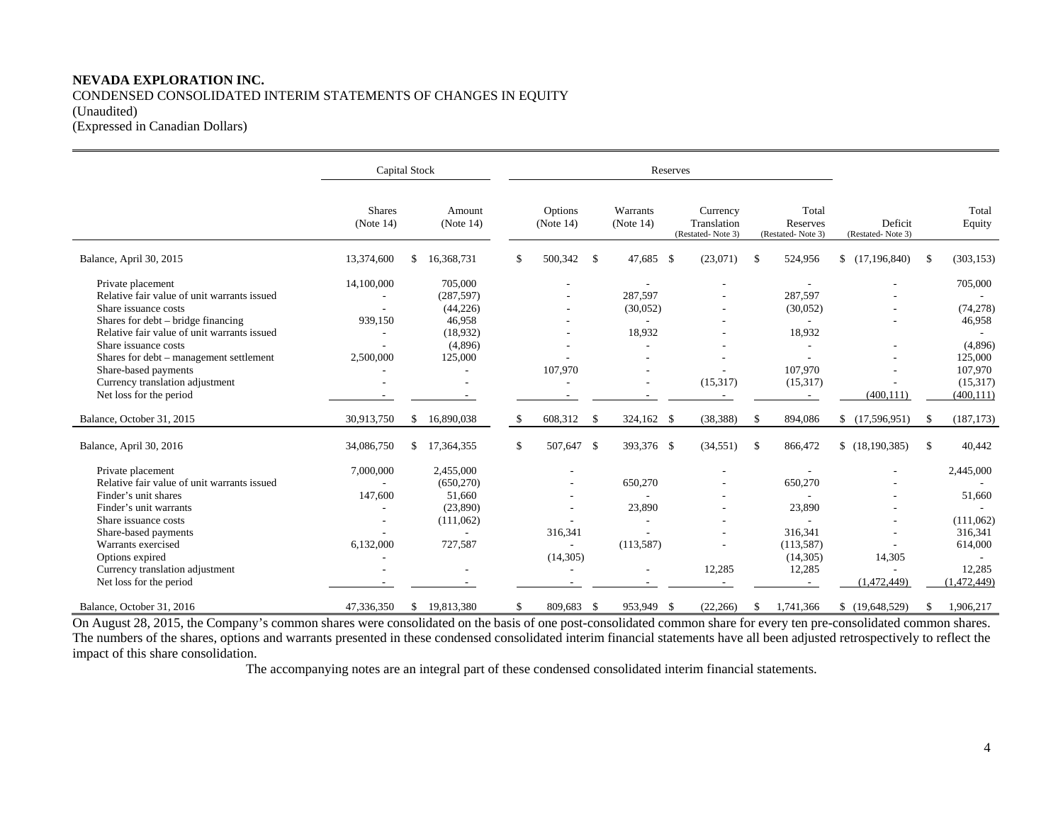# **NEVADA EXPLORATION INC.**  CONDENSED CONSOLIDATED INTERIM STATEMENTS OF CHANGES IN EQUITY (Unaudited) (Expressed in Canadian Dollars)

|                                             | <b>Capital Stock</b>       |                     |                      |               |                          | Reserves |                                              |    |                                        |                              |    |                 |
|---------------------------------------------|----------------------------|---------------------|----------------------|---------------|--------------------------|----------|----------------------------------------------|----|----------------------------------------|------------------------------|----|-----------------|
|                                             | <b>Shares</b><br>(Note 14) | Amount<br>(Note 14) | Options<br>(Note 14) |               | Warrants<br>(Note 14)    |          | Currency<br>Translation<br>(Restated-Note 3) |    | Total<br>Reserves<br>(Restated-Note 3) | Deficit<br>(Restated-Note 3) |    | Total<br>Equity |
| Balance, April 30, 2015                     | 13,374,600                 | \$<br>16,368,731    | \$<br>500,342        | $\mathcal{S}$ | 47,685 \$                |          | (23,071)                                     | \$ | 524,956                                | (17, 196, 840)               | \$ | (303, 153)      |
| Private placement                           | 14,100,000                 | 705,000             |                      |               | $\overline{\phantom{a}}$ |          |                                              |    | $\overline{\phantom{a}}$               |                              |    | 705,000         |
| Relative fair value of unit warrants issued |                            | (287, 597)          |                      |               | 287,597                  |          |                                              |    | 287,597                                |                              |    |                 |
| Share issuance costs                        |                            | (44, 226)           |                      |               | (30,052)                 |          |                                              |    | (30,052)                               |                              |    | (74, 278)       |
| Shares for debt – bridge financing          | 939,150                    | 46,958              |                      |               |                          |          |                                              |    |                                        |                              |    | 46,958          |
| Relative fair value of unit warrants issued |                            | (18,932)            |                      |               | 18,932                   |          |                                              |    | 18,932                                 |                              |    |                 |
| Share issuance costs                        |                            | (4,896)             |                      |               |                          |          |                                              |    |                                        |                              |    | (4,896)         |
| Shares for debt – management settlement     | 2,500,000                  | 125,000             |                      |               |                          |          |                                              |    |                                        |                              |    | 125,000         |
| Share-based payments                        |                            |                     | 107,970              |               |                          |          |                                              |    | 107,970                                |                              |    | 107,970         |
| Currency translation adjustment             |                            |                     |                      |               |                          |          | (15,317)                                     |    | (15,317)                               |                              |    | (15,317)        |
| Net loss for the period                     |                            |                     |                      |               |                          |          |                                              |    |                                        | (400, 111)                   |    | (400, 111)      |
| Balance, October 31, 2015                   | 30,913,750                 | \$16,890,038        | \$<br>608,312        | -S            | 324,162 \$               |          | (38, 388)                                    | -S | 894,086                                | (17,596,951)                 | S. | (187, 173)      |
| Balance, April 30, 2016                     | 34,086,750                 | \$<br>17,364,355    | \$<br>507,647 \$     |               | 393,376 \$               |          | (34, 551)                                    | \$ | 866,472                                | \$(18, 190, 385)             | S. | 40,442          |
| Private placement                           | 7,000,000                  | 2,455,000           |                      |               |                          |          |                                              |    |                                        |                              |    | 2,445,000       |
| Relative fair value of unit warrants issued | $\sim$                     | (650, 270)          |                      |               | 650,270                  |          |                                              |    | 650,270                                |                              |    |                 |
| Finder's unit shares                        | 147,600                    | 51,660              |                      |               |                          |          |                                              |    |                                        |                              |    | 51,660          |
| Finder's unit warrants                      |                            | (23,890)            |                      |               | 23,890                   |          |                                              |    | 23,890                                 |                              |    |                 |
| Share issuance costs                        |                            | (111,062)           |                      |               |                          |          |                                              |    |                                        |                              |    | (111,062)       |
| Share-based payments                        |                            |                     | 316,341              |               |                          |          |                                              |    | 316,341                                |                              |    | 316,341         |
| Warrants exercised                          | 6,132,000                  | 727,587             |                      |               | (113, 587)               |          |                                              |    | (113, 587)                             |                              |    | 614,000         |
| Options expired                             |                            |                     | (14,305)             |               |                          |          |                                              |    | (14,305)                               | 14,305                       |    |                 |
| Currency translation adjustment             |                            |                     |                      |               |                          |          | 12,285                                       |    | 12,285                                 |                              |    | 12,285          |
| Net loss for the period                     |                            |                     |                      |               |                          |          |                                              |    |                                        | (1,472,449)                  |    | (1,472,449)     |
| Balance, October 31, 2016                   | 47,336,350                 | \$<br>19,813,380    | \$<br>809,683        | -\$           | 953,949 \$               |          | (22, 266)                                    | \$ | 1,741,366                              | \$(19,648,529)               | \$ | 1,906,217       |

On August 28, 2015, the Company's common shares were consolidated on the basis of one post-consolidated common share for every ten pre-consolidated common shares. The numbers of the shares, options and warrants presented in these condensed consolidated interim financial statements have all been adjusted retrospectively to reflect the impact of this share consolidation.

The accompanying notes are an integral part of these condensed consolidated interim financial statements.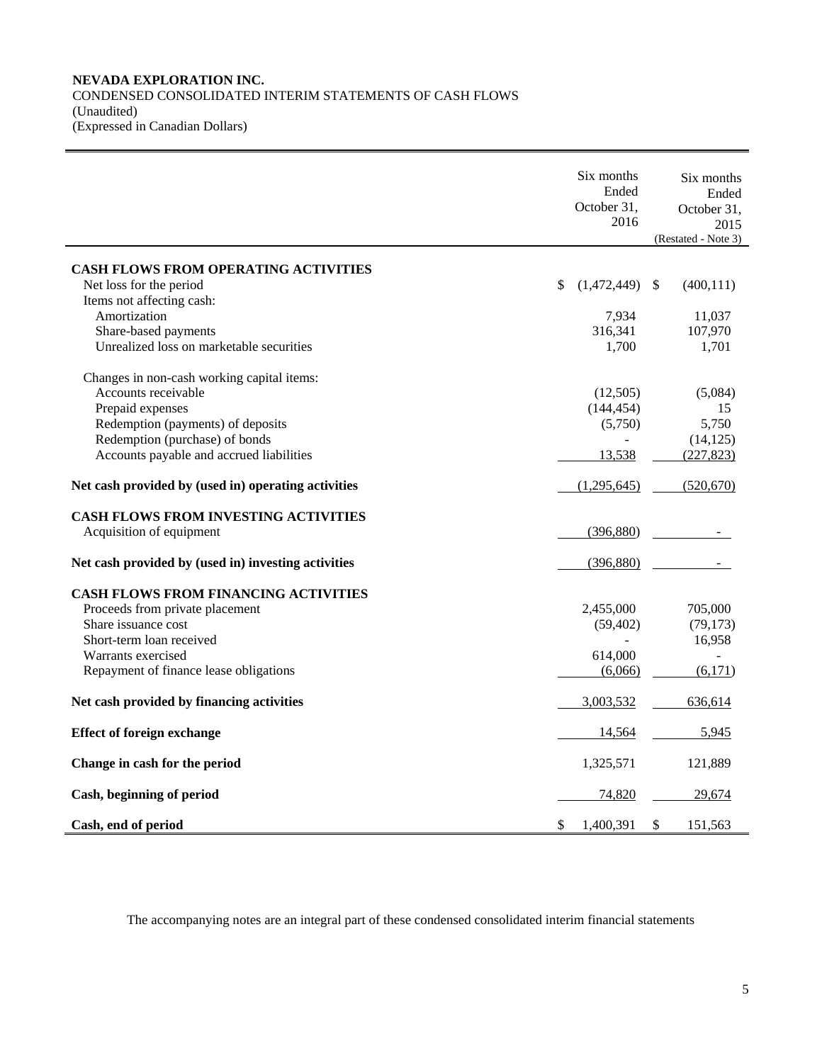# **NEVADA EXPLORATION INC.**  CONDENSED CONSOLIDATED INTERIM STATEMENTS OF CASH FLOWS (Unaudited) (Expressed in Canadian Dollars)

|                                                     | Six months        | Six months                  |
|-----------------------------------------------------|-------------------|-----------------------------|
|                                                     | Ended             | Ended                       |
|                                                     | October 31,       |                             |
|                                                     | 2016              | October 31,                 |
|                                                     |                   | 2015                        |
|                                                     |                   | (Restated - Note 3)         |
| <b>CASH FLOWS FROM OPERATING ACTIVITIES</b>         |                   |                             |
| Net loss for the period                             | \$<br>(1,472,449) | (400, 111)<br><sup>\$</sup> |
|                                                     |                   |                             |
| Items not affecting cash:                           |                   |                             |
| Amortization                                        | 7,934             | 11,037                      |
| Share-based payments                                | 316,341           | 107,970                     |
| Unrealized loss on marketable securities            | 1,700             | 1,701                       |
| Changes in non-cash working capital items:          |                   |                             |
| Accounts receivable                                 | (12,505)          | (5,084)                     |
| Prepaid expenses                                    | (144, 454)        | 15                          |
| Redemption (payments) of deposits                   | (5,750)           | 5,750                       |
|                                                     |                   |                             |
| Redemption (purchase) of bonds                      |                   | (14, 125)                   |
| Accounts payable and accrued liabilities            | 13,538            | (227, 823)                  |
| Net cash provided by (used in) operating activities | (1,295,645)       | (520, 670)                  |
| <b>CASH FLOWS FROM INVESTING ACTIVITIES</b>         |                   |                             |
| Acquisition of equipment                            | (396, 880)        |                             |
| Net cash provided by (used in) investing activities | (396, 880)        |                             |
| <b>CASH FLOWS FROM FINANCING ACTIVITIES</b>         |                   |                             |
| Proceeds from private placement                     | 2,455,000         | 705,000                     |
| Share issuance cost                                 | (59, 402)         | (79, 173)                   |
| Short-term loan received                            |                   | 16,958                      |
|                                                     |                   |                             |
| Warrants exercised                                  | 614,000           |                             |
| Repayment of finance lease obligations              | (6,066)           | (6,171)                     |
| Net cash provided by financing activities           | 3,003,532         | 636,614                     |
| <b>Effect of foreign exchange</b>                   | 14,564            | 5,945                       |
| Change in cash for the period                       | 1,325,571         | 121,889                     |
| Cash, beginning of period                           | 74,820            | 29,674                      |
|                                                     |                   |                             |
| Cash, end of period                                 | \$<br>1,400,391   | \$<br>151,563               |

The accompanying notes are an integral part of these condensed consolidated interim financial statements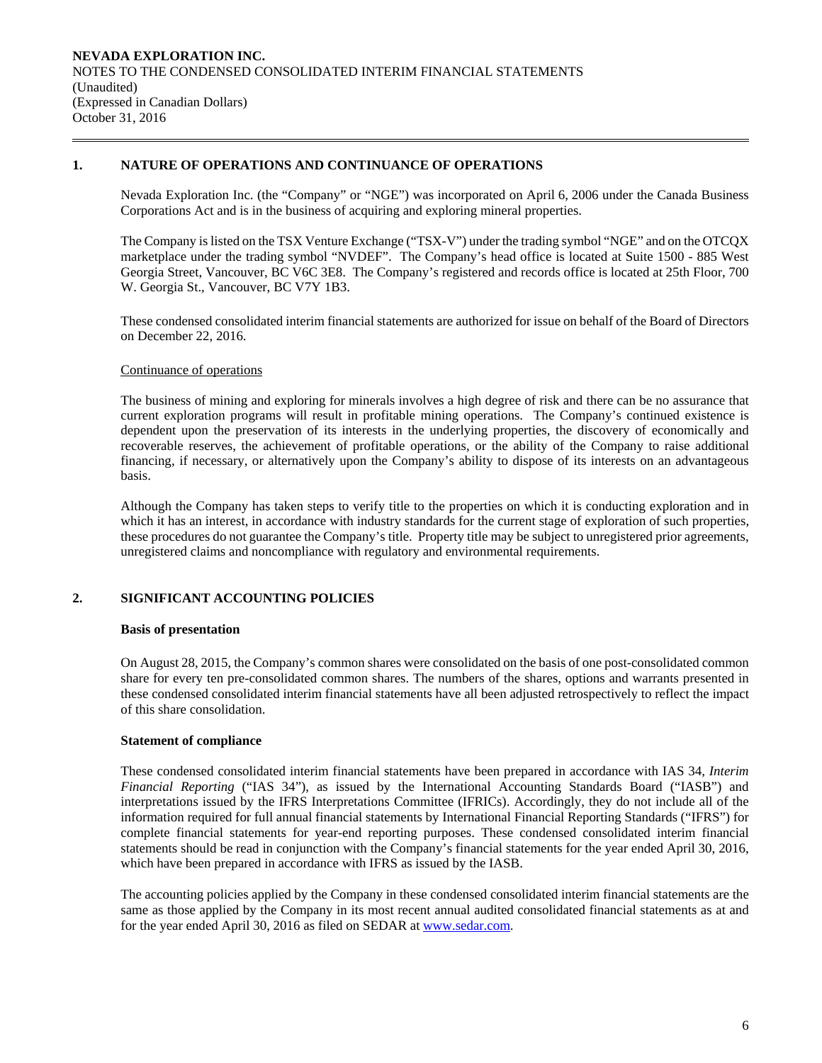# **1. NATURE OF OPERATIONS AND CONTINUANCE OF OPERATIONS**

Nevada Exploration Inc. (the "Company" or "NGE") was incorporated on April 6, 2006 under the Canada Business Corporations Act and is in the business of acquiring and exploring mineral properties.

The Company is listed on the TSX Venture Exchange ("TSX-V") under the trading symbol "NGE" and on the OTCQX marketplace under the trading symbol "NVDEF". The Company's head office is located at Suite 1500 - 885 West Georgia Street, Vancouver, BC V6C 3E8. The Company's registered and records office is located at 25th Floor, 700 W. Georgia St., Vancouver, BC V7Y 1B3.

 These condensed consolidated interim financial statements are authorized for issue on behalf of the Board of Directors on December 22, 2016.

#### Continuance of operations

The business of mining and exploring for minerals involves a high degree of risk and there can be no assurance that current exploration programs will result in profitable mining operations. The Company's continued existence is dependent upon the preservation of its interests in the underlying properties, the discovery of economically and recoverable reserves, the achievement of profitable operations, or the ability of the Company to raise additional financing, if necessary, or alternatively upon the Company's ability to dispose of its interests on an advantageous basis.

Although the Company has taken steps to verify title to the properties on which it is conducting exploration and in which it has an interest, in accordance with industry standards for the current stage of exploration of such properties, these procedures do not guarantee the Company's title. Property title may be subject to unregistered prior agreements, unregistered claims and noncompliance with regulatory and environmental requirements.

# **2. SIGNIFICANT ACCOUNTING POLICIES**

#### **Basis of presentation**

On August 28, 2015, the Company's common shares were consolidated on the basis of one post-consolidated common share for every ten pre-consolidated common shares. The numbers of the shares, options and warrants presented in these condensed consolidated interim financial statements have all been adjusted retrospectively to reflect the impact of this share consolidation.

# **Statement of compliance**

 These condensed consolidated interim financial statements have been prepared in accordance with IAS 34, *Interim Financial Reporting* ("IAS 34"), as issued by the International Accounting Standards Board ("IASB") and interpretations issued by the IFRS Interpretations Committee (IFRICs). Accordingly, they do not include all of the information required for full annual financial statements by International Financial Reporting Standards ("IFRS") for complete financial statements for year-end reporting purposes. These condensed consolidated interim financial statements should be read in conjunction with the Company's financial statements for the year ended April 30, 2016, which have been prepared in accordance with IFRS as issued by the IASB.

 The accounting policies applied by the Company in these condensed consolidated interim financial statements are the same as those applied by the Company in its most recent annual audited consolidated financial statements as at and for the year ended April 30, 2016 as filed on SEDAR at www.sedar.com.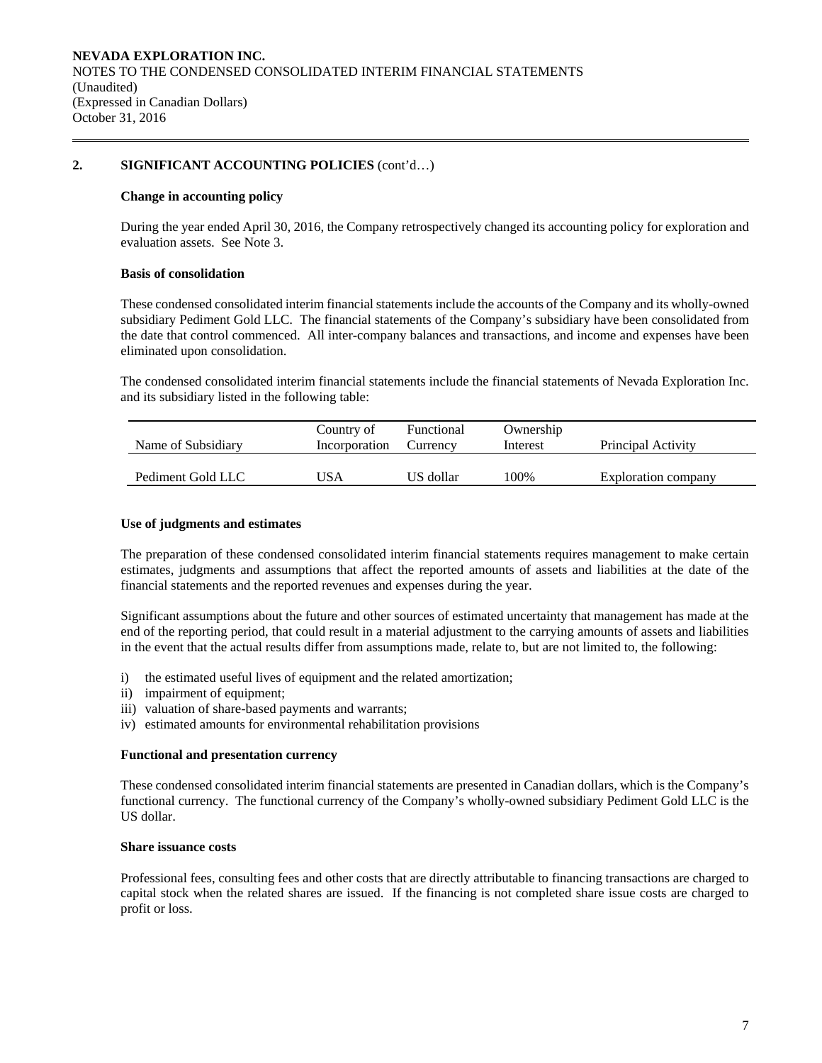# **2. SIGNIFICANT ACCOUNTING POLICIES** (cont'd…)

#### **Change in accounting policy**

 During the year ended April 30, 2016, the Company retrospectively changed its accounting policy for exploration and evaluation assets. See Note 3.

#### **Basis of consolidation**

 These condensed consolidated interim financial statements include the accounts of the Company and its wholly-owned subsidiary Pediment Gold LLC. The financial statements of the Company's subsidiary have been consolidated from the date that control commenced. All inter-company balances and transactions, and income and expenses have been eliminated upon consolidation.

The condensed consolidated interim financial statements include the financial statements of Nevada Exploration Inc. and its subsidiary listed in the following table:

| Name of Subsidiary | Country of<br>Incorporation | Functional<br>Currency | Ownership<br>Interest | Principal Activity  |
|--------------------|-----------------------------|------------------------|-----------------------|---------------------|
| Pediment Gold LLC  | USA                         | US dollar              | 100%                  | Exploration company |

#### **Use of judgments and estimates**

The preparation of these condensed consolidated interim financial statements requires management to make certain estimates, judgments and assumptions that affect the reported amounts of assets and liabilities at the date of the financial statements and the reported revenues and expenses during the year.

 Significant assumptions about the future and other sources of estimated uncertainty that management has made at the end of the reporting period, that could result in a material adjustment to the carrying amounts of assets and liabilities in the event that the actual results differ from assumptions made, relate to, but are not limited to, the following:

- i) the estimated useful lives of equipment and the related amortization;
- ii) impairment of equipment;
- iii) valuation of share-based payments and warrants;
- iv) estimated amounts for environmental rehabilitation provisions

#### **Functional and presentation currency**

These condensed consolidated interim financial statements are presented in Canadian dollars, which is the Company's functional currency. The functional currency of the Company's wholly-owned subsidiary Pediment Gold LLC is the US dollar.

#### **Share issuance costs**

 Professional fees, consulting fees and other costs that are directly attributable to financing transactions are charged to capital stock when the related shares are issued. If the financing is not completed share issue costs are charged to profit or loss.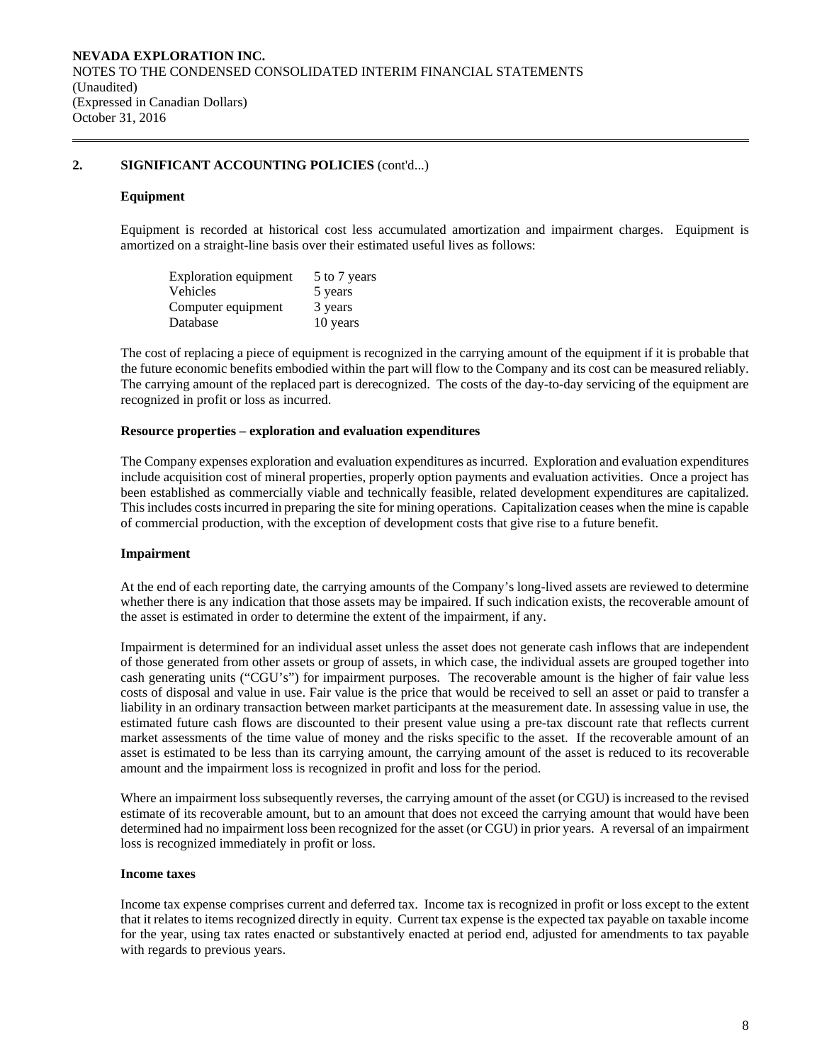# **2. SIGNIFICANT ACCOUNTING POLICIES** (cont'd...)

#### **Equipment**

Equipment is recorded at historical cost less accumulated amortization and impairment charges. Equipment is amortized on a straight-line basis over their estimated useful lives as follows:

| <b>Exploration equipment</b> | 5 to 7 years |
|------------------------------|--------------|
| Vehicles                     | 5 years      |
| Computer equipment           | 3 years      |
| Database                     | 10 years     |

The cost of replacing a piece of equipment is recognized in the carrying amount of the equipment if it is probable that the future economic benefits embodied within the part will flow to the Company and its cost can be measured reliably. The carrying amount of the replaced part is derecognized. The costs of the day-to-day servicing of the equipment are recognized in profit or loss as incurred.

#### **Resource properties – exploration and evaluation expenditures**

 The Company expenses exploration and evaluation expenditures as incurred. Exploration and evaluation expenditures include acquisition cost of mineral properties, properly option payments and evaluation activities. Once a project has been established as commercially viable and technically feasible, related development expenditures are capitalized. This includes costs incurred in preparing the site for mining operations. Capitalization ceases when the mine is capable of commercial production, with the exception of development costs that give rise to a future benefit.

### **Impairment**

At the end of each reporting date, the carrying amounts of the Company's long-lived assets are reviewed to determine whether there is any indication that those assets may be impaired. If such indication exists, the recoverable amount of the asset is estimated in order to determine the extent of the impairment, if any.

Impairment is determined for an individual asset unless the asset does not generate cash inflows that are independent of those generated from other assets or group of assets, in which case, the individual assets are grouped together into cash generating units ("CGU's") for impairment purposes. The recoverable amount is the higher of fair value less costs of disposal and value in use. Fair value is the price that would be received to sell an asset or paid to transfer a liability in an ordinary transaction between market participants at the measurement date. In assessing value in use, the estimated future cash flows are discounted to their present value using a pre-tax discount rate that reflects current market assessments of the time value of money and the risks specific to the asset. If the recoverable amount of an asset is estimated to be less than its carrying amount, the carrying amount of the asset is reduced to its recoverable amount and the impairment loss is recognized in profit and loss for the period.

Where an impairment loss subsequently reverses, the carrying amount of the asset (or CGU) is increased to the revised estimate of its recoverable amount, but to an amount that does not exceed the carrying amount that would have been determined had no impairment loss been recognized for the asset (or CGU) in prior years. A reversal of an impairment loss is recognized immediately in profit or loss.

#### **Income taxes**

Income tax expense comprises current and deferred tax. Income tax is recognized in profit or loss except to the extent that it relates to items recognized directly in equity. Current tax expense is the expected tax payable on taxable income for the year, using tax rates enacted or substantively enacted at period end, adjusted for amendments to tax payable with regards to previous years.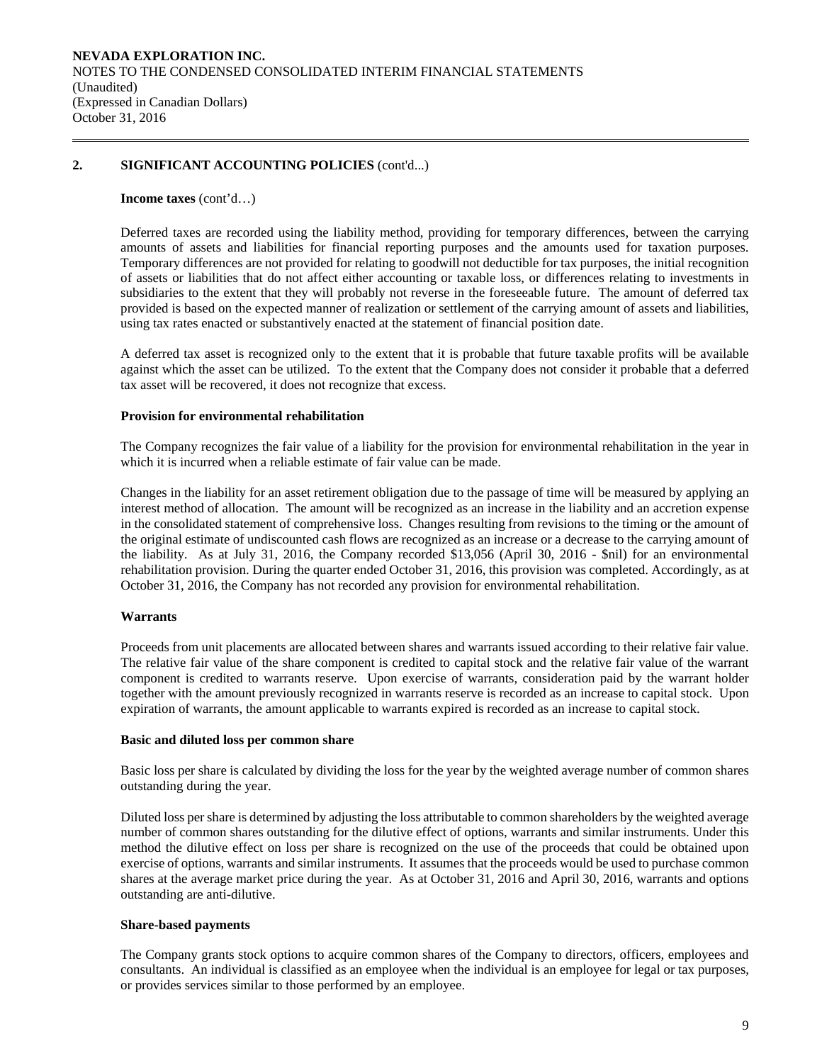# **2. SIGNIFICANT ACCOUNTING POLICIES** (cont'd...)

#### **Income taxes** (cont'd…)

Deferred taxes are recorded using the liability method, providing for temporary differences, between the carrying amounts of assets and liabilities for financial reporting purposes and the amounts used for taxation purposes. Temporary differences are not provided for relating to goodwill not deductible for tax purposes, the initial recognition of assets or liabilities that do not affect either accounting or taxable loss, or differences relating to investments in subsidiaries to the extent that they will probably not reverse in the foreseeable future. The amount of deferred tax provided is based on the expected manner of realization or settlement of the carrying amount of assets and liabilities, using tax rates enacted or substantively enacted at the statement of financial position date.

A deferred tax asset is recognized only to the extent that it is probable that future taxable profits will be available against which the asset can be utilized. To the extent that the Company does not consider it probable that a deferred tax asset will be recovered, it does not recognize that excess.

#### **Provision for environmental rehabilitation**

The Company recognizes the fair value of a liability for the provision for environmental rehabilitation in the year in which it is incurred when a reliable estimate of fair value can be made.

Changes in the liability for an asset retirement obligation due to the passage of time will be measured by applying an interest method of allocation. The amount will be recognized as an increase in the liability and an accretion expense in the consolidated statement of comprehensive loss. Changes resulting from revisions to the timing or the amount of the original estimate of undiscounted cash flows are recognized as an increase or a decrease to the carrying amount of the liability. As at July 31, 2016, the Company recorded \$13,056 (April 30, 2016 - \$nil) for an environmental rehabilitation provision. During the quarter ended October 31, 2016, this provision was completed. Accordingly, as at October 31, 2016, the Company has not recorded any provision for environmental rehabilitation.

#### **Warrants**

Proceeds from unit placements are allocated between shares and warrants issued according to their relative fair value. The relative fair value of the share component is credited to capital stock and the relative fair value of the warrant component is credited to warrants reserve. Upon exercise of warrants, consideration paid by the warrant holder together with the amount previously recognized in warrants reserve is recorded as an increase to capital stock. Upon expiration of warrants, the amount applicable to warrants expired is recorded as an increase to capital stock.

#### **Basic and diluted loss per common share**

Basic loss per share is calculated by dividing the loss for the year by the weighted average number of common shares outstanding during the year.

 Diluted loss per share is determined by adjusting the loss attributable to common shareholders by the weighted average number of common shares outstanding for the dilutive effect of options, warrants and similar instruments. Under this method the dilutive effect on loss per share is recognized on the use of the proceeds that could be obtained upon exercise of options, warrants and similar instruments. It assumes that the proceeds would be used to purchase common shares at the average market price during the year. As at October 31, 2016 and April 30, 2016, warrants and options outstanding are anti-dilutive.

#### **Share-based payments**

The Company grants stock options to acquire common shares of the Company to directors, officers, employees and consultants. An individual is classified as an employee when the individual is an employee for legal or tax purposes, or provides services similar to those performed by an employee.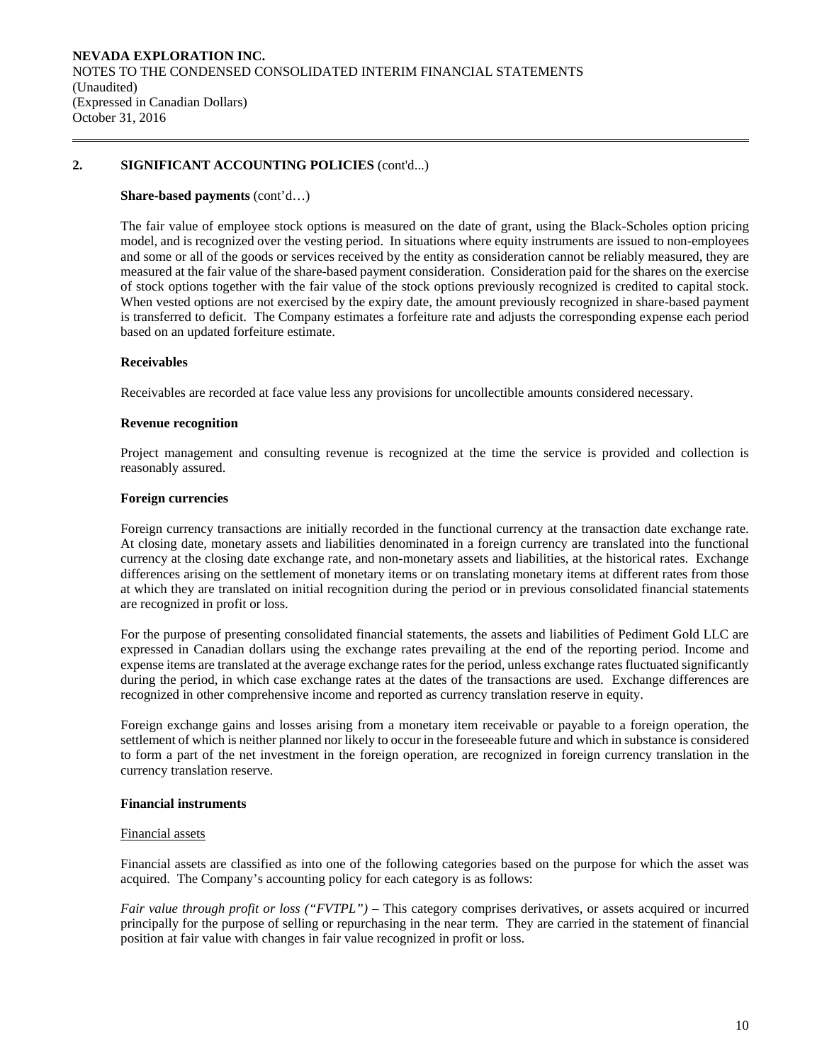# **2. SIGNIFICANT ACCOUNTING POLICIES** (cont'd...)

#### **Share-based payments** (cont'd…)

The fair value of employee stock options is measured on the date of grant, using the Black-Scholes option pricing model, and is recognized over the vesting period. In situations where equity instruments are issued to non-employees and some or all of the goods or services received by the entity as consideration cannot be reliably measured, they are measured at the fair value of the share-based payment consideration. Consideration paid for the shares on the exercise of stock options together with the fair value of the stock options previously recognized is credited to capital stock. When vested options are not exercised by the expiry date, the amount previously recognized in share-based payment is transferred to deficit. The Company estimates a forfeiture rate and adjusts the corresponding expense each period based on an updated forfeiture estimate.

### **Receivables**

Receivables are recorded at face value less any provisions for uncollectible amounts considered necessary.

#### **Revenue recognition**

Project management and consulting revenue is recognized at the time the service is provided and collection is reasonably assured.

#### **Foreign currencies**

 Foreign currency transactions are initially recorded in the functional currency at the transaction date exchange rate. At closing date, monetary assets and liabilities denominated in a foreign currency are translated into the functional currency at the closing date exchange rate, and non-monetary assets and liabilities, at the historical rates. Exchange differences arising on the settlement of monetary items or on translating monetary items at different rates from those at which they are translated on initial recognition during the period or in previous consolidated financial statements are recognized in profit or loss.

For the purpose of presenting consolidated financial statements, the assets and liabilities of Pediment Gold LLC are expressed in Canadian dollars using the exchange rates prevailing at the end of the reporting period. Income and expense items are translated at the average exchange rates for the period, unless exchange rates fluctuated significantly during the period, in which case exchange rates at the dates of the transactions are used. Exchange differences are recognized in other comprehensive income and reported as currency translation reserve in equity.

 Foreign exchange gains and losses arising from a monetary item receivable or payable to a foreign operation, the settlement of which is neither planned nor likely to occur in the foreseeable future and which in substance is considered to form a part of the net investment in the foreign operation, are recognized in foreign currency translation in the currency translation reserve.

#### **Financial instruments**

#### Financial assets

Financial assets are classified as into one of the following categories based on the purpose for which the asset was acquired. The Company's accounting policy for each category is as follows:

*Fair value through profit or loss ("FVTPL")* – This category comprises derivatives, or assets acquired or incurred principally for the purpose of selling or repurchasing in the near term. They are carried in the statement of financial position at fair value with changes in fair value recognized in profit or loss.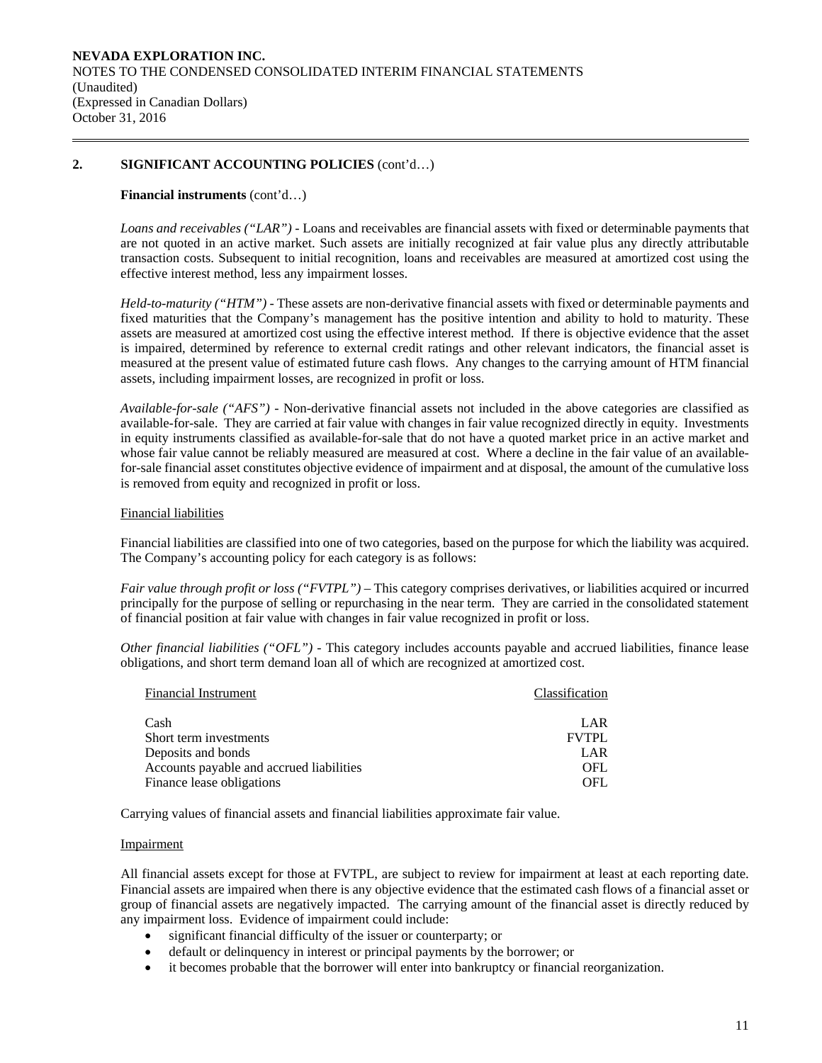# **2. SIGNIFICANT ACCOUNTING POLICIES** (cont'd…)

#### **Financial instruments** (cont'd…)

*Loans and receivables ("LAR") -* Loans and receivables are financial assets with fixed or determinable payments that are not quoted in an active market. Such assets are initially recognized at fair value plus any directly attributable transaction costs. Subsequent to initial recognition, loans and receivables are measured at amortized cost using the effective interest method, less any impairment losses.

*Held-to-maturity ("HTM") -* These assets are non-derivative financial assets with fixed or determinable payments and fixed maturities that the Company's management has the positive intention and ability to hold to maturity. These assets are measured at amortized cost using the effective interest method. If there is objective evidence that the asset is impaired, determined by reference to external credit ratings and other relevant indicators, the financial asset is measured at the present value of estimated future cash flows. Any changes to the carrying amount of HTM financial assets, including impairment losses, are recognized in profit or loss.

*Available-for-sale ("AFS") -* Non-derivative financial assets not included in the above categories are classified as available-for-sale. They are carried at fair value with changes in fair value recognized directly in equity. Investments in equity instruments classified as available-for-sale that do not have a quoted market price in an active market and whose fair value cannot be reliably measured are measured at cost. Where a decline in the fair value of an availablefor-sale financial asset constitutes objective evidence of impairment and at disposal, the amount of the cumulative loss is removed from equity and recognized in profit or loss.

#### Financial liabilities

Financial liabilities are classified into one of two categories, based on the purpose for which the liability was acquired. The Company's accounting policy for each category is as follows:

*Fair value through profit or loss ("FVTPL")* – This category comprises derivatives, or liabilities acquired or incurred principally for the purpose of selling or repurchasing in the near term. They are carried in the consolidated statement of financial position at fair value with changes in fair value recognized in profit or loss.

*Other financial liabilities ("OFL") -* This category includes accounts payable and accrued liabilities, finance lease obligations, and short term demand loan all of which are recognized at amortized cost.

| <b>Financial Instrument</b>              | Classification |
|------------------------------------------|----------------|
| Cash                                     | LAR            |
| Short term investments                   | <b>FVTPL</b>   |
| Deposits and bonds                       | LAR            |
| Accounts payable and accrued liabilities | OFL.           |
| Finance lease obligations                | OFL            |

Carrying values of financial assets and financial liabilities approximate fair value.

#### Impairment

All financial assets except for those at FVTPL, are subject to review for impairment at least at each reporting date. Financial assets are impaired when there is any objective evidence that the estimated cash flows of a financial asset or group of financial assets are negatively impacted. The carrying amount of the financial asset is directly reduced by any impairment loss. Evidence of impairment could include:

- significant financial difficulty of the issuer or counterparty; or
- default or delinquency in interest or principal payments by the borrower; or
- it becomes probable that the borrower will enter into bankruptcy or financial reorganization.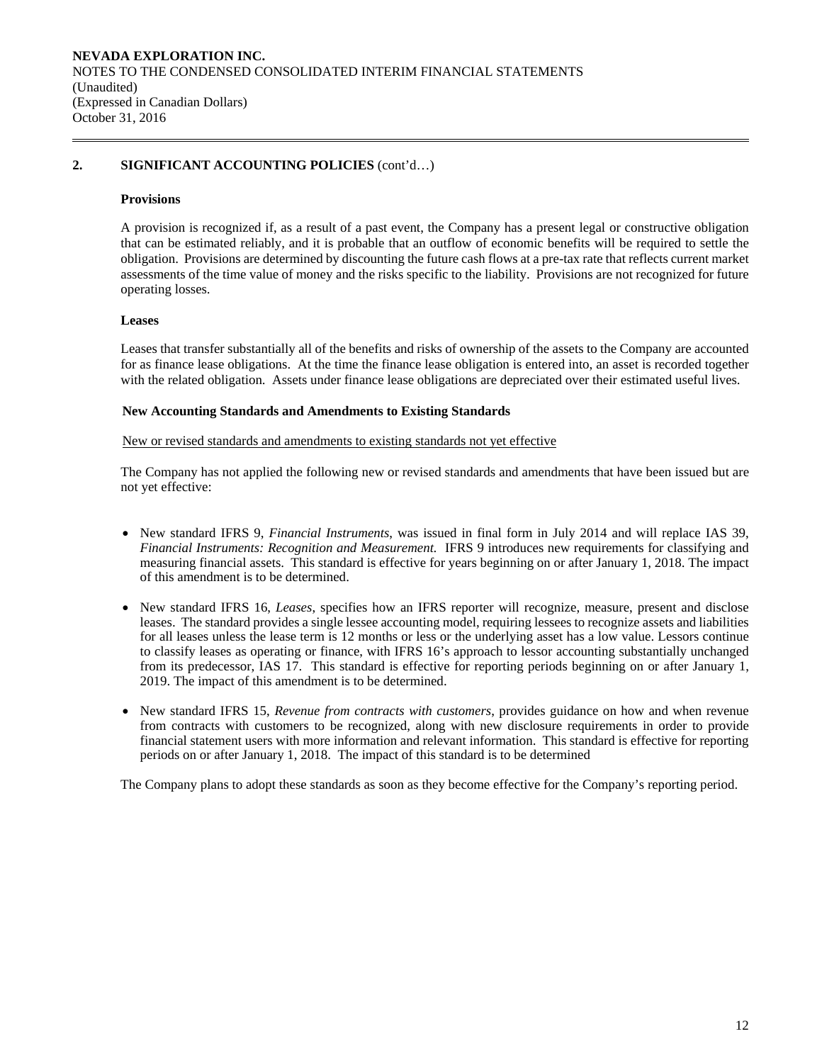# **2. SIGNIFICANT ACCOUNTING POLICIES** (cont'd…)

#### **Provisions**

A provision is recognized if, as a result of a past event, the Company has a present legal or constructive obligation that can be estimated reliably, and it is probable that an outflow of economic benefits will be required to settle the obligation. Provisions are determined by discounting the future cash flows at a pre-tax rate that reflects current market assessments of the time value of money and the risks specific to the liability. Provisions are not recognized for future operating losses.

#### **Leases**

Leases that transfer substantially all of the benefits and risks of ownership of the assets to the Company are accounted for as finance lease obligations. At the time the finance lease obligation is entered into, an asset is recorded together with the related obligation. Assets under finance lease obligations are depreciated over their estimated useful lives.

#### **New Accounting Standards and Amendments to Existing Standards**

#### New or revised standards and amendments to existing standards not yet effective

 The Company has not applied the following new or revised standards and amendments that have been issued but are not yet effective:

- New standard IFRS 9, *Financial Instruments*, was issued in final form in July 2014 and will replace IAS 39, *Financial Instruments: Recognition and Measurement.* IFRS 9 introduces new requirements for classifying and measuring financial assets. This standard is effective for years beginning on or after January 1, 2018. The impact of this amendment is to be determined.
- New standard IFRS 16, *Leases*, specifies how an IFRS reporter will recognize, measure, present and disclose leases. The standard provides a single lessee accounting model, requiring lessees to recognize assets and liabilities for all leases unless the lease term is 12 months or less or the underlying asset has a low value. Lessors continue to classify leases as operating or finance, with IFRS 16's approach to lessor accounting substantially unchanged from its predecessor, IAS 17. This standard is effective for reporting periods beginning on or after January 1, 2019. The impact of this amendment is to be determined.
- New standard IFRS 15, *Revenue from contracts with customers*, provides guidance on how and when revenue from contracts with customers to be recognized, along with new disclosure requirements in order to provide financial statement users with more information and relevant information. This standard is effective for reporting periods on or after January 1, 2018. The impact of this standard is to be determined

The Company plans to adopt these standards as soon as they become effective for the Company's reporting period.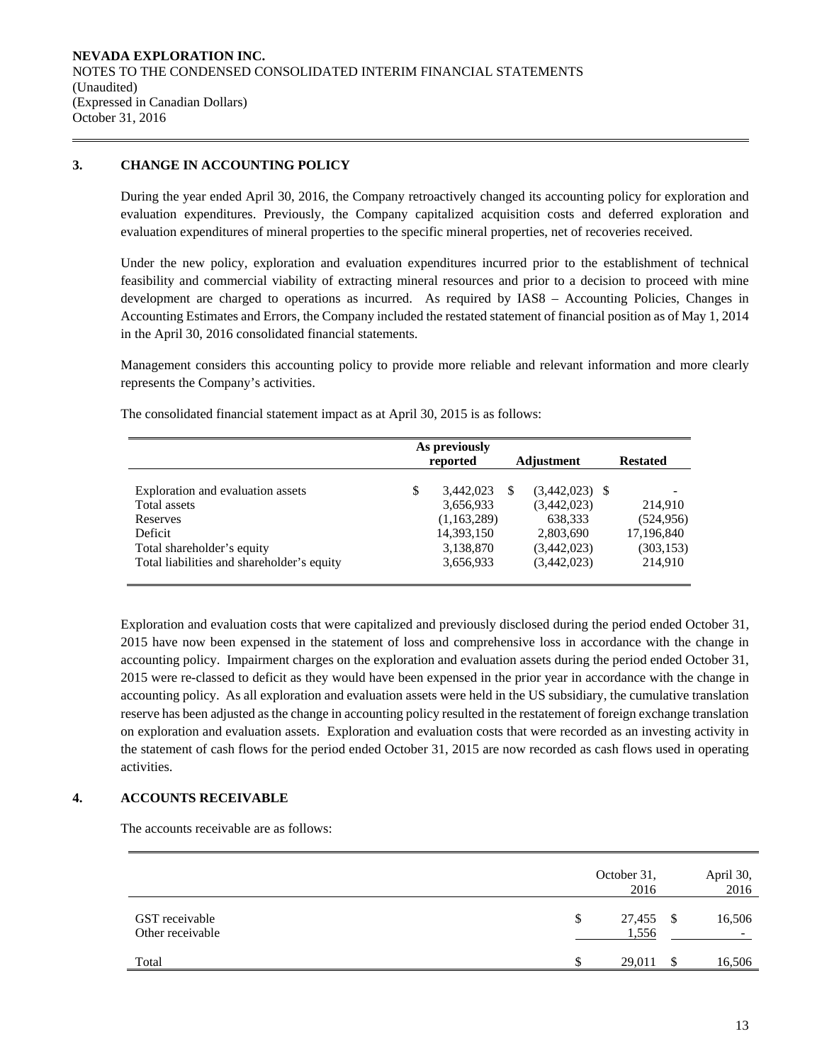# **3. CHANGE IN ACCOUNTING POLICY**

During the year ended April 30, 2016, the Company retroactively changed its accounting policy for exploration and evaluation expenditures. Previously, the Company capitalized acquisition costs and deferred exploration and evaluation expenditures of mineral properties to the specific mineral properties, net of recoveries received.

Under the new policy, exploration and evaluation expenditures incurred prior to the establishment of technical feasibility and commercial viability of extracting mineral resources and prior to a decision to proceed with mine development are charged to operations as incurred. As required by IAS8 – Accounting Policies, Changes in Accounting Estimates and Errors, the Company included the restated statement of financial position as of May 1, 2014 in the April 30, 2016 consolidated financial statements.

Management considers this accounting policy to provide more reliable and relevant information and more clearly represents the Company's activities.

|                                            | As previously<br>reported | <b>Adjustment</b> | <b>Restated</b>          |  |
|--------------------------------------------|---------------------------|-------------------|--------------------------|--|
| Exploration and evaluation assets          | \$<br>3,442,023           | $(3,442,023)$ \$  | $\overline{\phantom{a}}$ |  |
| Total assets                               | 3,656,933                 | (3,442,023)       | 214,910                  |  |
| Reserves                                   | (1,163,289)               | 638,333           | (524, 956)               |  |
| Deficit                                    | 14,393,150                | 2,803,690         | 17,196,840               |  |
| Total shareholder's equity                 | 3,138,870                 | (3,442,023)       | (303, 153)               |  |
| Total liabilities and shareholder's equity | 3,656,933                 | (3,442,023)       | 214,910                  |  |

The consolidated financial statement impact as at April 30, 2015 is as follows:

Exploration and evaluation costs that were capitalized and previously disclosed during the period ended October 31, 2015 have now been expensed in the statement of loss and comprehensive loss in accordance with the change in accounting policy. Impairment charges on the exploration and evaluation assets during the period ended October 31, 2015 were re-classed to deficit as they would have been expensed in the prior year in accordance with the change in accounting policy. As all exploration and evaluation assets were held in the US subsidiary, the cumulative translation reserve has been adjusted as the change in accounting policy resulted in the restatement of foreign exchange translation on exploration and evaluation assets. Exploration and evaluation costs that were recorded as an investing activity in the statement of cash flows for the period ended October 31, 2015 are now recorded as cash flows used in operating activities.

# **4. ACCOUNTS RECEIVABLE**

The accounts receivable are as follows:

|                                    | October 31,<br>2016   |      | April 30,<br>2016 |
|------------------------------------|-----------------------|------|-------------------|
| GST receivable<br>Other receivable | 27,455<br>\$<br>1,556 | - \$ | 16,506            |
| Total                              | 29,011                | \$   | 16,506            |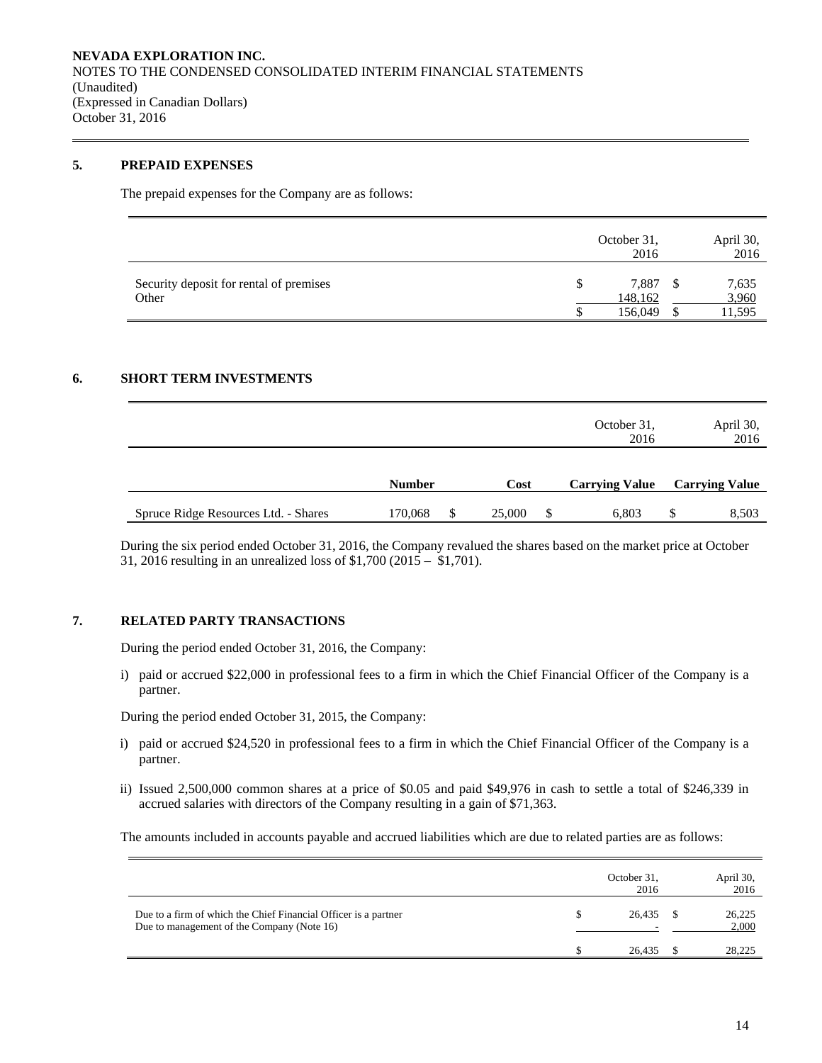### **5. PREPAID EXPENSES**

The prepaid expenses for the Company are as follows:

|                                                  | October 31,<br>2016         | April 30,<br>2016        |
|--------------------------------------------------|-----------------------------|--------------------------|
| Security deposit for rental of premises<br>Other | 7,887<br>148,162<br>156,049 | 7,635<br>3,960<br>11,595 |

# **6. SHORT TERM INVESTMENTS**

|                                      |               |               |        |          | October 31,<br>2016   |     | April 30,<br>2016     |
|--------------------------------------|---------------|---------------|--------|----------|-----------------------|-----|-----------------------|
|                                      | <b>Number</b> |               | Cost   |          | <b>Carrying Value</b> |     | <b>Carrying Value</b> |
| Spruce Ridge Resources Ltd. - Shares | 170,068       | <sup>\$</sup> | 25,000 | <b>S</b> | 6.803                 | \$. | 8,503                 |

During the six period ended October 31, 2016, the Company revalued the shares based on the market price at October 31, 2016 resulting in an unrealized loss of \$1,700 (2015 – \$1,701).

# **7. RELATED PARTY TRANSACTIONS**

During the period ended October 31, 2016, the Company:

i) paid or accrued \$22,000 in professional fees to a firm in which the Chief Financial Officer of the Company is a partner.

During the period ended October 31, 2015, the Company:

- i) paid or accrued \$24,520 in professional fees to a firm in which the Chief Financial Officer of the Company is a partner.
- ii) Issued 2,500,000 common shares at a price of \$0.05 and paid \$49,976 in cash to settle a total of \$246,339 in accrued salaries with directors of the Company resulting in a gain of \$71,363.

The amounts included in accounts payable and accrued liabilities which are due to related parties are as follows:

|                                                                                                               | October 31,<br>2016 | April 30,<br>2016 |
|---------------------------------------------------------------------------------------------------------------|---------------------|-------------------|
| Due to a firm of which the Chief Financial Officer is a partner<br>Due to management of the Company (Note 16) | 26.435<br>-         | 26,225<br>2,000   |
|                                                                                                               | 26.435              | 28,225            |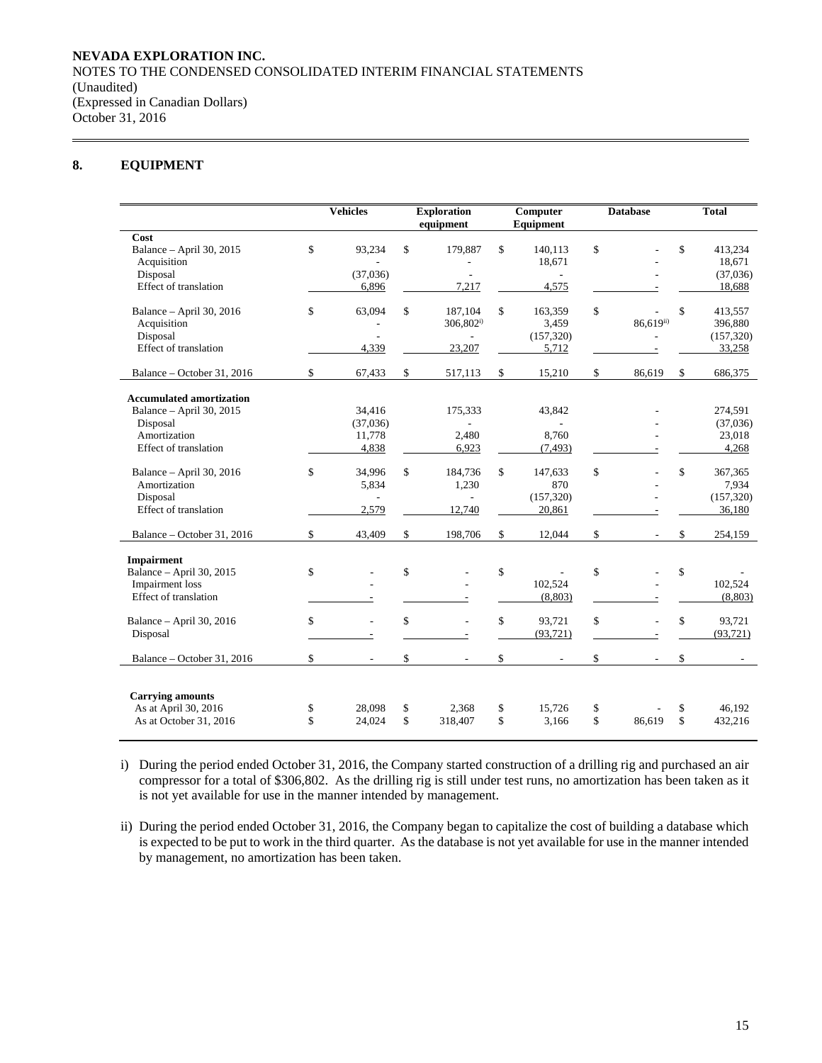# **8. EQUIPMENT**

|                                                                                                                  |          | <b>Vehicles</b>                             |          | <b>Exploration</b><br>equipment                     |          | Computer<br>Equipment                   |          | <b>Database</b> |          | <b>Total</b>                               |  |
|------------------------------------------------------------------------------------------------------------------|----------|---------------------------------------------|----------|-----------------------------------------------------|----------|-----------------------------------------|----------|-----------------|----------|--------------------------------------------|--|
| Cost<br>Balance - April 30, 2015<br>Acquisition<br>Disposal<br>Effect of translation                             | \$       | 93,234<br>(37,036)<br>6,896                 | \$       | 179.887<br>L,<br>7,217                              | \$       | 140,113<br>18,671<br>$\sim$<br>4,575    | \$       |                 | \$       | 413,234<br>18.671<br>(37,036)<br>18,688    |  |
| Balance - April 30, 2016<br>Acquisition<br>Disposal<br>Effect of translation                                     | \$       | 63,094<br>$\overline{\phantom{a}}$<br>4,339 | \$       | 187,104<br>$306,802^{i}$<br>$\mathcal{L}$<br>23,207 | \$       | 163,359<br>3,459<br>(157, 320)<br>5,712 | \$       | $86,619^{ii)}$  | \$       | 413.557<br>396,880<br>(157, 320)<br>33,258 |  |
| Balance - October 31, 2016                                                                                       | \$       | 67,433                                      | \$       | 517,113                                             | \$       | 15,210                                  | \$       | 86,619          | \$       | 686,375                                    |  |
| <b>Accumulated amortization</b><br>Balance - April 30, 2015<br>Disposal<br>Amortization<br>Effect of translation |          | 34,416<br>(37,036)<br>11,778<br>4,838       |          | 175,333<br>2,480<br>6,923                           |          | 43,842<br>8,760<br>(7, 493)             |          |                 |          | 274,591<br>(37,036)<br>23,018<br>4,268     |  |
| Balance - April 30, 2016<br>Amortization<br>Disposal<br>Effect of translation                                    | \$       | 34,996<br>5,834<br>2,579                    | \$       | 184,736<br>1,230<br>÷.<br>12,740                    | \$       | 147,633<br>870<br>(157, 320)<br>20,861  | \$       |                 | \$       | 367,365<br>7,934<br>(157, 320)<br>36,180   |  |
| Balance - October 31, 2016                                                                                       | \$       | 43,409                                      | \$       | 198,706                                             | \$       | 12,044                                  | \$       | $\overline{a}$  | \$       | 254,159                                    |  |
| <b>Impairment</b><br>Balance - April 30, 2015<br><b>Impairment</b> loss<br><b>Effect of translation</b>          | \$       | L.                                          | \$       |                                                     | \$       | 102,524<br>(8,803)                      | \$       |                 | \$       | 102,524<br>(8, 803)                        |  |
| Balance - April 30, 2016<br>Disposal                                                                             | \$       | L.<br>$\frac{1}{2}$                         | \$       |                                                     | \$       | 93,721<br>(93, 721)                     | \$       |                 | \$       | 93,721<br>(93, 721)                        |  |
| Balance - October 31, 2016                                                                                       | \$       |                                             | \$       |                                                     | \$       | $\overline{\phantom{a}}$                | \$       |                 | \$       |                                            |  |
| <b>Carrying amounts</b><br>As at April 30, 2016<br>As at October 31, 2016                                        | \$<br>\$ | 28,098<br>24,024                            | \$<br>\$ | 2,368<br>318,407                                    | \$<br>\$ | 15,726<br>3,166                         | \$<br>\$ | 86,619          | \$<br>\$ | 46.192<br>432,216                          |  |

i) During the period ended October 31, 2016, the Company started construction of a drilling rig and purchased an air compressor for a total of \$306,802. As the drilling rig is still under test runs, no amortization has been taken as it is not yet available for use in the manner intended by management.

ii) During the period ended October 31, 2016, the Company began to capitalize the cost of building a database which is expected to be put to work in the third quarter. As the database is not yet available for use in the manner intended by management, no amortization has been taken.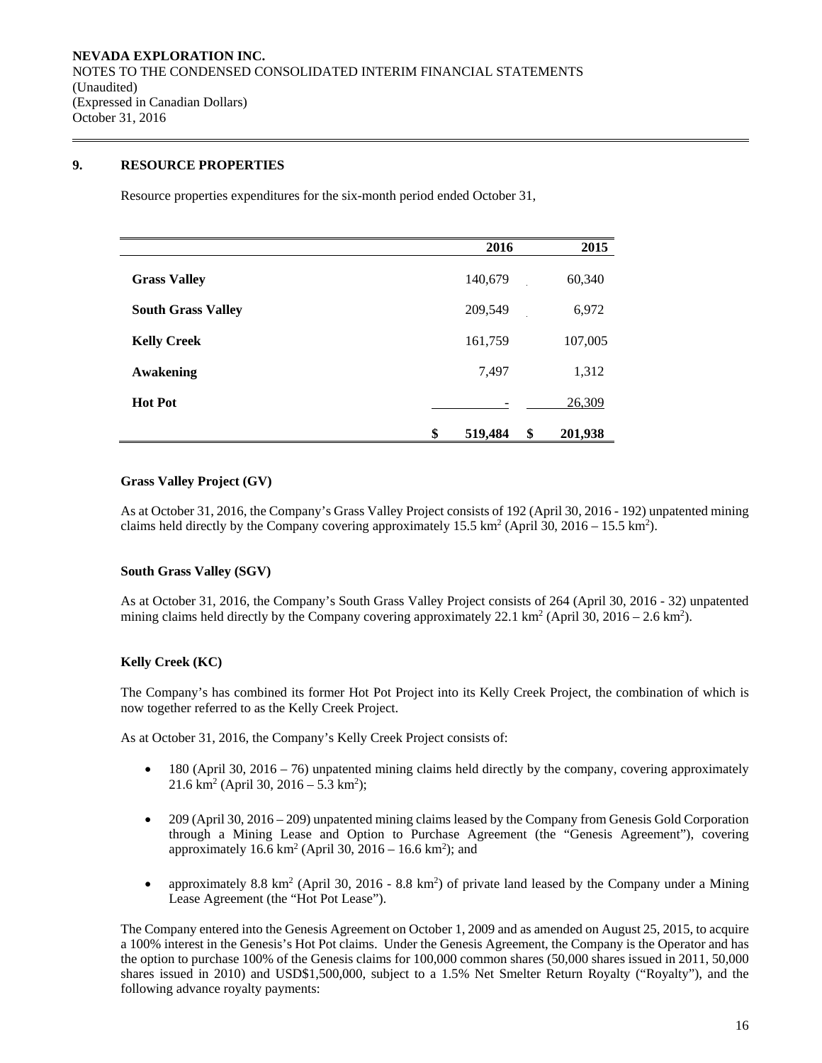# **9. RESOURCE PROPERTIES**

Resource properties expenditures for the six-month period ended October 31,

|                           | 2016          | 2015          |
|---------------------------|---------------|---------------|
| <b>Grass Valley</b>       | 140,679       | 60,340        |
| <b>South Grass Valley</b> | 209,549       | 6,972         |
| <b>Kelly Creek</b>        | 161,759       | 107,005       |
| Awakening                 | 7,497         | 1,312         |
| <b>Hot Pot</b>            |               | 26,309        |
|                           | \$<br>519,484 | \$<br>201,938 |

### **Grass Valley Project (GV)**

As at October 31, 2016, the Company's Grass Valley Project consists of 192 (April 30, 2016 - 192) unpatented mining claims held directly by the Company covering approximately  $15.5 \text{ km}^2$  (April 30,  $2016 - 15.5 \text{ km}^2$ ).

# **South Grass Valley (SGV)**

As at October 31, 2016, the Company's South Grass Valley Project consists of 264 (April 30, 2016 - 32) unpatented mining claims held directly by the Company covering approximately 22.1 km<sup>2</sup> (April 30, 2016 – 2.6 km<sup>2</sup>).

# **Kelly Creek (KC)**

The Company's has combined its former Hot Pot Project into its Kelly Creek Project, the combination of which is now together referred to as the Kelly Creek Project.

As at October 31, 2016, the Company's Kelly Creek Project consists of:

- $\bullet$  180 (April 30, 2016 76) unpatented mining claims held directly by the company, covering approximately  $21.6 \text{ km}^2 \text{ (April 30, } 2016 - 5.3 \text{ km}^2);$
- 209 (April 30, 2016 209) unpatented mining claims leased by the Company from Genesis Gold Corporation through a Mining Lease and Option to Purchase Agreement (the "Genesis Agreement"), covering approximately  $16.6 \text{ km}^2$  (April 30,  $2016 - 16.6 \text{ km}^2$ ); and
- approximately 8.8 km<sup>2</sup> (April 30, 2016 8.8 km<sup>2</sup>) of private land leased by the Company under a Mining Lease Agreement (the "Hot Pot Lease").

The Company entered into the Genesis Agreement on October 1, 2009 and as amended on August 25, 2015, to acquire a 100% interest in the Genesis's Hot Pot claims. Under the Genesis Agreement, the Company is the Operator and has the option to purchase 100% of the Genesis claims for 100,000 common shares (50,000 shares issued in 2011, 50,000 shares issued in 2010) and USD\$1,500,000, subject to a 1.5% Net Smelter Return Royalty ("Royalty"), and the following advance royalty payments: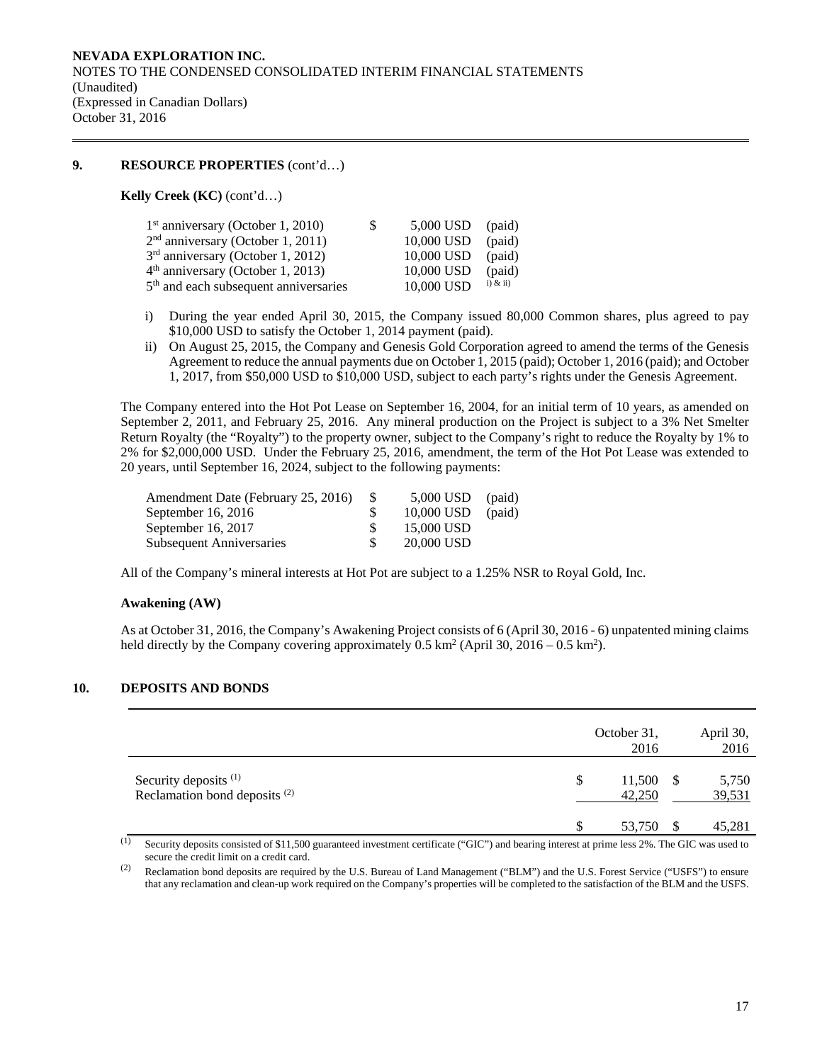# **9. RESOURCE PROPERTIES** (cont'd…)

**Kelly Creek (KC)** (cont'd…)

| $1st$ anniversary (October 1, 2010)               | S. | 5,000 USD  | (paid)       |
|---------------------------------------------------|----|------------|--------------|
| $2nd$ anniversary (October 1, 2011)               |    | 10,000 USD | (paid)       |
| 3 <sup>rd</sup> anniversary (October 1, 2012)     |    | 10,000 USD | (paid)       |
| $4th$ anniversary (October 1, 2013)               |    | 10,000 USD | (paid)       |
| 5 <sup>th</sup> and each subsequent anniversaries |    | 10,000 USD | $i)$ & $ii)$ |

- i) During the year ended April 30, 2015, the Company issued 80,000 Common shares, plus agreed to pay \$10,000 USD to satisfy the October 1, 2014 payment (paid).
- ii) On August 25, 2015, the Company and Genesis Gold Corporation agreed to amend the terms of the Genesis Agreement to reduce the annual payments due on October 1, 2015 (paid); October 1, 2016 (paid); and October 1, 2017, from \$50,000 USD to \$10,000 USD, subject to each party's rights under the Genesis Agreement.

The Company entered into the Hot Pot Lease on September 16, 2004, for an initial term of 10 years, as amended on September 2, 2011, and February 25, 2016. Any mineral production on the Project is subject to a 3% Net Smelter Return Royalty (the "Royalty") to the property owner, subject to the Company's right to reduce the Royalty by 1% to 2% for \$2,000,000 USD. Under the February 25, 2016, amendment, the term of the Hot Pot Lease was extended to 20 years, until September 16, 2024, subject to the following payments:

| -SS | 10,000 USD | (paid)             |
|-----|------------|--------------------|
|     | 15,000 USD |                    |
|     | 20,000 USD |                    |
|     |            | $5,000$ USD (paid) |

All of the Company's mineral interests at Hot Pot are subject to a 1.25% NSR to Royal Gold, Inc.

#### **Awakening (AW)**

As at October 31, 2016, the Company's Awakening Project consists of 6 (April 30, 2016 - 6) unpatented mining claims held directly by the Company covering approximately  $0.5 \text{ km}^2$  (April 30,  $2016 - 0.5 \text{ km}^2$ ).

# **10. DEPOSITS AND BONDS**

|                                                                              | October 31,<br>2016         |    | April 30,<br>2016 |
|------------------------------------------------------------------------------|-----------------------------|----|-------------------|
| Security deposits <sup>(1)</sup><br>Reclamation bond deposits <sup>(2)</sup> | $11,500$ \$<br>S.<br>42,250 |    | 5,750<br>39,531   |
|                                                                              | \$<br>53,750                | -S | 45,281            |

 $\overline{11}$  Security deposits consisted of \$11,500 guaranteed investment certificate ("GIC") and bearing interest at prime less 2%. The GIC was used to secure the credit limit on a credit card.

(2) Reclamation bond deposits are required by the U.S. Bureau of Land Management ("BLM") and the U.S. Forest Service ("USFS") to ensure that any reclamation and clean-up work required on the Company's properties will be completed to the satisfaction of the BLM and the USFS.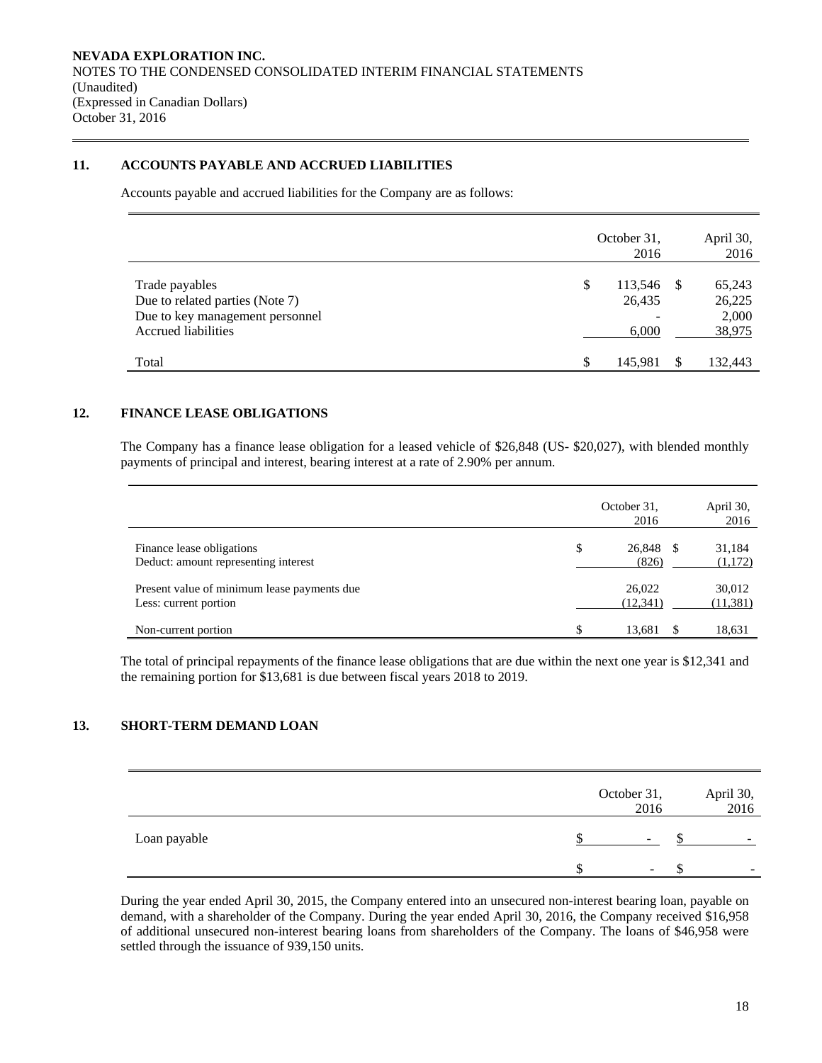# **11. ACCOUNTS PAYABLE AND ACCRUED LIABILITIES**

Accounts payable and accrued liabilities for the Company are as follows:

|                                                                                                             | October 31,<br>2016              |      | April 30,<br>2016                   |
|-------------------------------------------------------------------------------------------------------------|----------------------------------|------|-------------------------------------|
| Trade payables<br>Due to related parties (Note 7)<br>Due to key management personnel<br>Accrued liabilities | \$<br>113,546<br>26,435<br>6,000 | - \$ | 65,243<br>26,225<br>2,000<br>38,975 |
| Total                                                                                                       | \$<br>145,981                    |      | 132,443                             |

# **12. FINANCE LEASE OBLIGATIONS**

The Company has a finance lease obligation for a leased vehicle of \$26,848 (US- \$20,027), with blended monthly payments of principal and interest, bearing interest at a rate of 2.90% per annum.

|                                                                      |   | October 31,<br>2016 | April 30,<br>2016   |
|----------------------------------------------------------------------|---|---------------------|---------------------|
| Finance lease obligations<br>Deduct: amount representing interest    | S | 26,848 \$<br>(826)  | 31,184<br>(1,172)   |
| Present value of minimum lease payments due<br>Less: current portion |   | 26,022<br>(12, 341) | 30,012<br>(11, 381) |
| Non-current portion                                                  |   | 13,681              | 18,631              |

The total of principal repayments of the finance lease obligations that are due within the next one year is \$12,341 and the remaining portion for \$13,681 is due between fiscal years 2018 to 2019.

# **13. SHORT-TERM DEMAND LOAN**

|              | October 31,<br>2016      | April 30,<br>2016        |
|--------------|--------------------------|--------------------------|
| Loan payable | $\overline{\phantom{0}}$ | -                        |
|              | -                        | $\overline{\phantom{0}}$ |

During the year ended April 30, 2015, the Company entered into an unsecured non-interest bearing loan, payable on demand, with a shareholder of the Company. During the year ended April 30, 2016, the Company received \$16,958 of additional unsecured non-interest bearing loans from shareholders of the Company. The loans of \$46,958 were settled through the issuance of 939,150 units.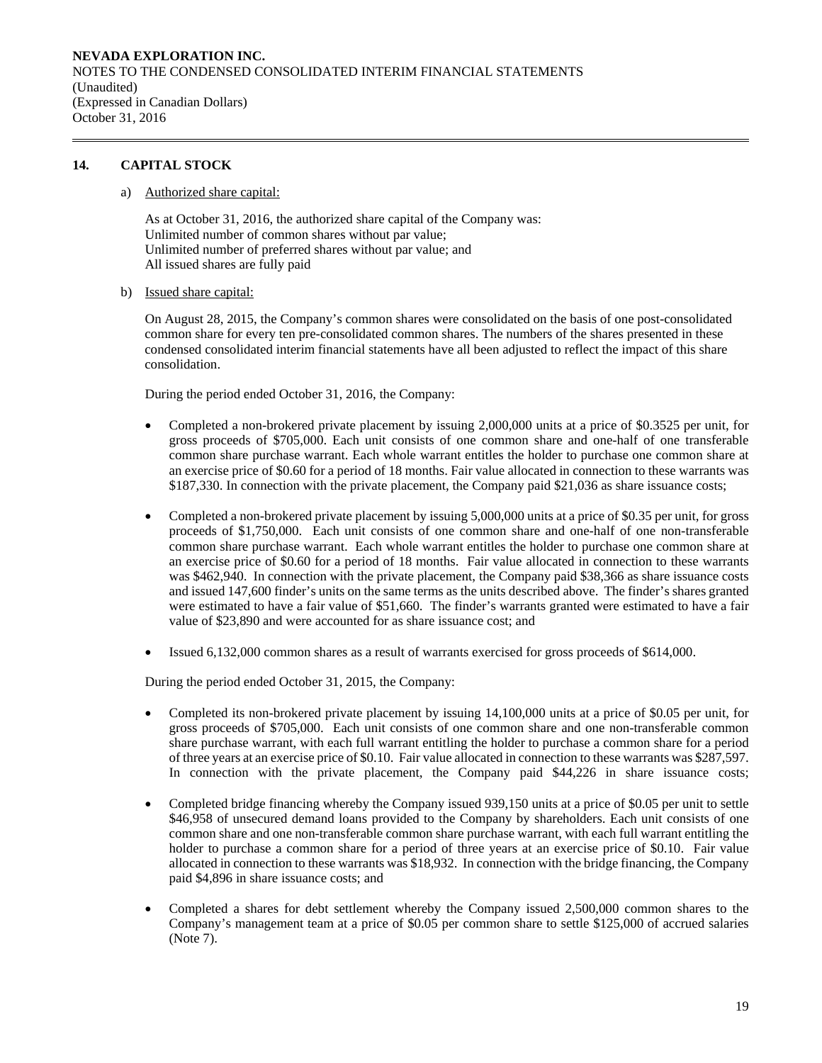# **14. CAPITAL STOCK**

a) Authorized share capital:

As at October 31, 2016, the authorized share capital of the Company was: Unlimited number of common shares without par value; Unlimited number of preferred shares without par value; and All issued shares are fully paid

b) Issued share capital:

On August 28, 2015, the Company's common shares were consolidated on the basis of one post-consolidated common share for every ten pre-consolidated common shares. The numbers of the shares presented in these condensed consolidated interim financial statements have all been adjusted to reflect the impact of this share consolidation.

During the period ended October 31, 2016, the Company:

- Completed a non-brokered private placement by issuing 2,000,000 units at a price of \$0.3525 per unit, for gross proceeds of \$705,000. Each unit consists of one common share and one-half of one transferable common share purchase warrant. Each whole warrant entitles the holder to purchase one common share at an exercise price of \$0.60 for a period of 18 months. Fair value allocated in connection to these warrants was \$187,330. In connection with the private placement, the Company paid \$21,036 as share issuance costs;
- Completed a non-brokered private placement by issuing 5,000,000 units at a price of \$0.35 per unit, for gross proceeds of \$1,750,000. Each unit consists of one common share and one-half of one non-transferable common share purchase warrant. Each whole warrant entitles the holder to purchase one common share at an exercise price of \$0.60 for a period of 18 months. Fair value allocated in connection to these warrants was \$462,940. In connection with the private placement, the Company paid \$38,366 as share issuance costs and issued 147,600 finder's units on the same terms as the units described above. The finder's shares granted were estimated to have a fair value of \$51,660. The finder's warrants granted were estimated to have a fair value of \$23,890 and were accounted for as share issuance cost; and
- Issued 6,132,000 common shares as a result of warrants exercised for gross proceeds of \$614,000.

During the period ended October 31, 2015, the Company:

- Completed its non-brokered private placement by issuing 14,100,000 units at a price of \$0.05 per unit, for gross proceeds of \$705,000. Each unit consists of one common share and one non-transferable common share purchase warrant, with each full warrant entitling the holder to purchase a common share for a period of three years at an exercise price of \$0.10. Fair value allocated in connection to these warrants was \$287,597. In connection with the private placement, the Company paid \$44,226 in share issuance costs;
- Completed bridge financing whereby the Company issued 939,150 units at a price of \$0.05 per unit to settle \$46,958 of unsecured demand loans provided to the Company by shareholders. Each unit consists of one common share and one non-transferable common share purchase warrant, with each full warrant entitling the holder to purchase a common share for a period of three years at an exercise price of \$0.10. Fair value allocated in connection to these warrants was \$18,932. In connection with the bridge financing, the Company paid \$4,896 in share issuance costs; and
- Completed a shares for debt settlement whereby the Company issued 2,500,000 common shares to the Company's management team at a price of \$0.05 per common share to settle \$125,000 of accrued salaries (Note 7).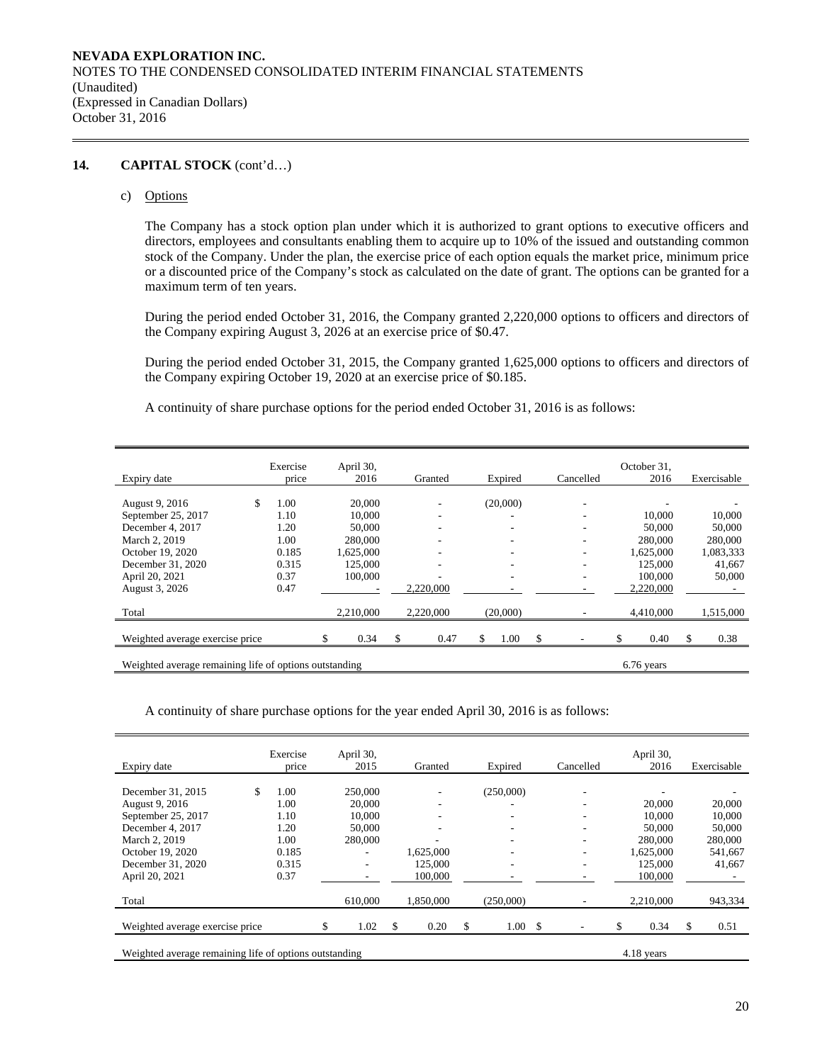# **14. CAPITAL STOCK** (cont'd…)

c) Options

The Company has a stock option plan under which it is authorized to grant options to executive officers and directors, employees and consultants enabling them to acquire up to 10% of the issued and outstanding common stock of the Company. Under the plan, the exercise price of each option equals the market price, minimum price or a discounted price of the Company's stock as calculated on the date of grant. The options can be granted for a maximum term of ten years.

During the period ended October 31, 2016, the Company granted 2,220,000 options to officers and directors of the Company expiring August 3, 2026 at an exercise price of \$0.47.

During the period ended October 31, 2015, the Company granted 1,625,000 options to officers and directors of the Company expiring October 19, 2020 at an exercise price of \$0.185.

A continuity of share purchase options for the period ended October 31, 2016 is as follows:

| Expiry date                                                          |    | Exercise<br>price |    | April 30,<br>2016 |     | Granted   |    | Expired  |              | Cancelled |           | October 31,<br>2016 |    | Exercisable |
|----------------------------------------------------------------------|----|-------------------|----|-------------------|-----|-----------|----|----------|--------------|-----------|-----------|---------------------|----|-------------|
| August 9, 2016                                                       | \$ | 1.00              |    | 20,000            |     | ۰         |    | (20,000) |              | ۰         |           |                     |    |             |
| September 25, 2017                                                   |    | 1.10              |    | 10,000            |     | -         |    |          |              | ۰         |           | 10,000              |    | 10,000      |
| December 4, 2017                                                     |    | 1.20              |    | 50,000            |     | ۰         |    | -        |              | ۰.        |           | 50,000              |    | 50,000      |
| March 2, 2019                                                        |    | 1.00              |    | 280,000           |     | -         |    | -        |              | ۰         |           | 280,000             |    | 280,000     |
| October 19, 2020                                                     |    | 0.185             |    | 1,625,000         |     | -         |    | ۰.       |              | ۰         |           | 1,625,000           |    | 1,083,333   |
| December 31, 2020                                                    |    | 0.315             |    | 125,000           |     | -         |    | -        |              | ۰         |           | 125,000             |    | 41,667      |
| April 20, 2021                                                       |    | 0.37              |    | 100,000           |     | ۰         |    | ۰        |              | ۰.        |           | 100,000             |    | 50,000      |
| August 3, 2026                                                       |    | 0.47              |    |                   |     | 2,220,000 |    |          |              |           | 2,220,000 |                     |    |             |
| Total                                                                |    |                   |    | 2,210,000         |     | 2,220,000 |    | (20,000) |              |           |           | 4,410,000           |    | 1,515,000   |
| Weighted average exercise price                                      |    |                   | \$ | 0.34              | \$. | 0.47      | \$ | 1.00     | $\mathbb{S}$ |           |           | 0.40                | \$ | 0.38        |
| Weighted average remaining life of options outstanding<br>6.76 years |    |                   |    |                   |     |           |    |          |              |           |           |                     |    |             |

A continuity of share purchase options for the year ended April 30, 2016 is as follows:

| Expiry date                                                          | Exercise<br>price | April 30, | 2015                     |   | Granted   |     | Expired      |  | Cancelled |  | April 30,<br>2016 | Exercisable |
|----------------------------------------------------------------------|-------------------|-----------|--------------------------|---|-----------|-----|--------------|--|-----------|--|-------------------|-------------|
|                                                                      |                   |           |                          |   |           |     |              |  |           |  |                   |             |
| \$<br>December 31, 2015                                              | 1.00              |           | 250,000                  |   |           |     | (250,000)    |  | ۰         |  |                   |             |
| August 9, 2016                                                       | 1.00              |           | 20,000                   |   | -         |     |              |  | -         |  | 20,000            | 20,000      |
| September 25, 2017                                                   | 1.10              |           | 10,000                   |   | ۰         |     |              |  | ۰         |  | 10,000            | 10,000      |
| December 4, 2017                                                     | 1.20              |           | 50,000                   |   | ۰         |     | -            |  | ۰         |  | 50,000            | 50,000      |
| March 2, 2019                                                        | 1.00              |           | 280,000                  |   |           |     |              |  | ۰         |  | 280,000           | 280,000     |
| October 19, 2020                                                     | 0.185             |           |                          |   | 1.625,000 |     |              |  | ٠         |  | 1.625.000         | 541,667     |
| December 31, 2020                                                    | 0.315             |           | $\overline{\phantom{a}}$ |   | 125,000   |     |              |  | ۰         |  | 125,000           | 41,667      |
| April 20, 2021                                                       | 0.37              |           |                          |   | 100,000   |     |              |  |           |  | 100,000           |             |
| Total                                                                |                   |           | 610,000                  |   | 1,850,000 |     | (250,000)    |  |           |  | 2,210,000         | 943,334     |
|                                                                      |                   |           |                          |   |           |     |              |  |           |  |                   |             |
| Weighted average exercise price                                      |                   |           | 1.02                     | S | 0.20      | \$. | $1.00 \,$ \$ |  |           |  | 0.34              | \$<br>0.51  |
| Weighted average remaining life of options outstanding<br>4.18 years |                   |           |                          |   |           |     |              |  |           |  |                   |             |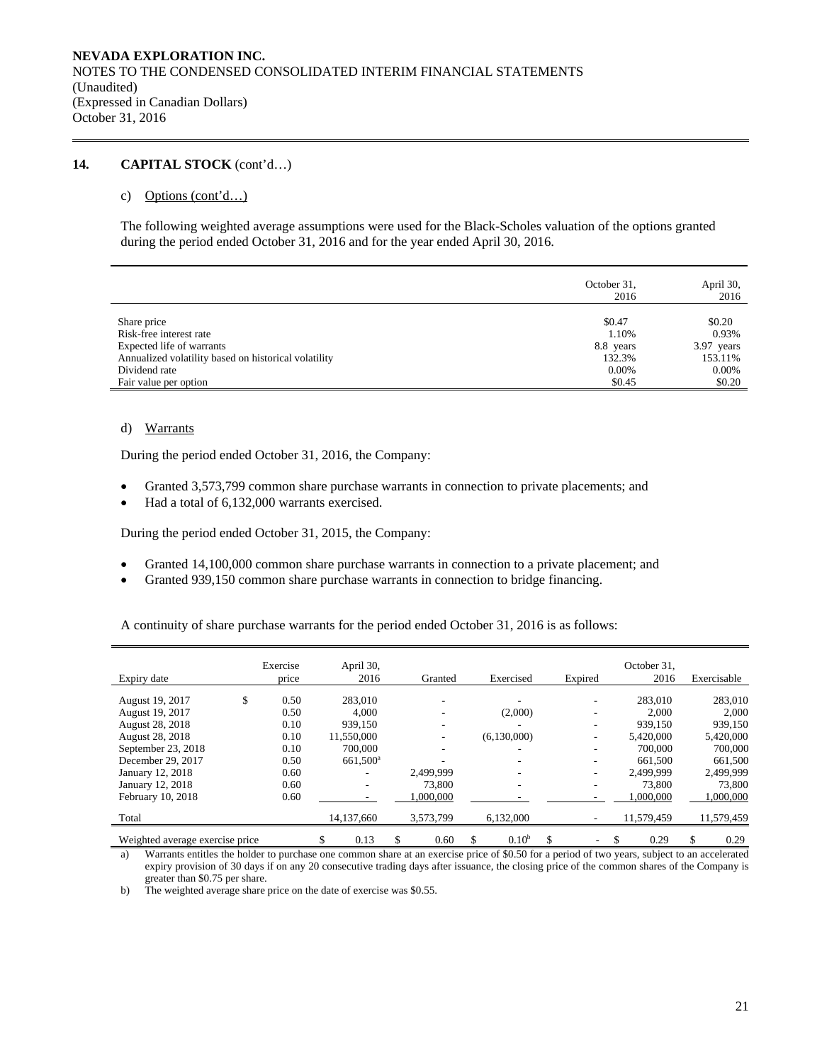# **14. CAPITAL STOCK** (cont'd…)

### c) Options (cont'd…)

The following weighted average assumptions were used for the Black-Scholes valuation of the options granted during the period ended October 31, 2016 and for the year ended April 30, 2016.

|                                                      | October 31,<br>2016 | April 30,<br>2016 |
|------------------------------------------------------|---------------------|-------------------|
| Share price                                          | \$0.47              | \$0.20            |
| Risk-free interest rate                              | 1.10%               | 0.93%             |
| Expected life of warrants                            | 8.8 years           | 3.97 years        |
| Annualized volatility based on historical volatility | 132.3%              | 153.11%           |
| Dividend rate                                        | $0.00\%$            | 0.00%             |
| Fair value per option                                | \$0.45              | \$0.20            |

## d) Warrants

During the period ended October 31, 2016, the Company:

- Granted 3,573,799 common share purchase warrants in connection to private placements; and
- Had a total of 6,132,000 warrants exercised.

During the period ended October 31, 2015, the Company:

- Granted 14,100,000 common share purchase warrants in connection to a private placement; and
- Granted 939,150 common share purchase warrants in connection to bridge financing.

A continuity of share purchase warrants for the period ended October 31, 2016 is as follows:

| Expiry date                     | Exercise<br>price | April 30,<br>2016    |   | Granted   | Exercised                |   | Expired | October 31,<br>2016 | Exercisable |
|---------------------------------|-------------------|----------------------|---|-----------|--------------------------|---|---------|---------------------|-------------|
| August 19, 2017                 | \$<br>0.50        | 283,010              |   |           |                          |   |         | 283,010             | 283,010     |
| August 19, 2017                 | 0.50              | 4.000                |   |           | (2,000)                  |   | ۰       | 2.000               | 2,000       |
| August 28, 2018                 | 0.10              | 939.150              |   |           |                          |   | ۰       | 939.150             | 939,150     |
| August 28, 2018                 | 0.10              | 11,550,000           |   |           | (6,130,000)              |   | ۰       | 5,420,000           | 5,420,000   |
| September 23, 2018              | 0.10              | 700,000              |   | ۰         | -                        |   |         | 700,000             | 700,000     |
| December 29, 2017               | 0.50              | 661,500 <sup>a</sup> |   |           |                          |   | ۰       | 661.500             | 661,500     |
| January 12, 2018                | 0.60              |                      |   | 2.499.999 |                          |   | ۰       | 2,499,999           | 2,499,999   |
| January 12, 2018                | 0.60              |                      |   | 73,800    | $\overline{\phantom{a}}$ |   |         | 73,800              | 73,800      |
| February 10, 2018               | 0.60              |                      |   | 000,000   |                          |   |         | 000,000.1           | 000,000,1   |
| Total                           |                   | 14,137,660           |   | 3,573,799 | 6,132,000                |   |         | 11,579,459          | 11,579,459  |
| Weighted average exercise price |                   | \$<br>0.13           | S | 0.60      | \$<br>$0.10^{b}$         | S |         | 0.29                | \$<br>0.29  |

a) Warrants entitles the holder to purchase one common share at an exercise price of \$0.50 for a period of two years, subject to an accelerated expiry provision of 30 days if on any 20 consecutive trading days after issuance, the closing price of the common shares of the Company is greater than \$0.75 per share.

b) The weighted average share price on the date of exercise was \$0.55.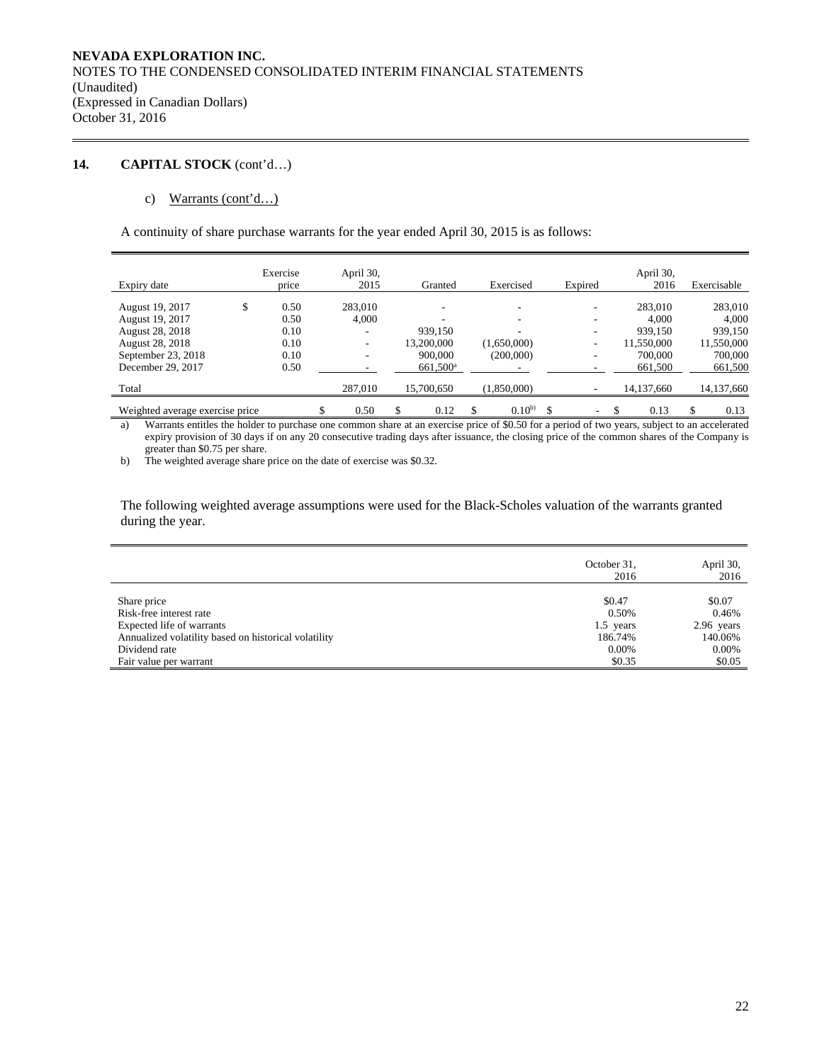# **14. CAPITAL STOCK** (cont'd…)

# c) Warrants (cont'd…)

A continuity of share purchase warrants for the year ended April 30, 2015 is as follows:

|                                 |   | Exercise | April 30,                |                      |                  |   |         | April 30,    |    |             |
|---------------------------------|---|----------|--------------------------|----------------------|------------------|---|---------|--------------|----|-------------|
| Expiry date                     |   | price    | 2015                     | Granted              | Exercised        |   | Expired | 2016         |    | Exercisable |
| August 19, 2017                 | S | 0.50     | 283,010                  |                      |                  |   |         | 283,010      |    | 283,010     |
| August 19, 2017                 |   | 0.50     | 4,000                    |                      |                  |   |         | 4.000        |    | 4,000       |
| August 28, 2018                 |   | 0.10     | ۰                        | 939,150              |                  |   |         | 939.150      |    | 939.150     |
| <b>August 28, 2018</b>          |   | 0.10     | $\overline{\phantom{a}}$ | 13.200.000           | (1,650,000)      |   | ۰       | 11,550,000   |    | 11,550,000  |
| September 23, 2018              |   | 0.10     | -                        | 900,000              | (200,000)        |   |         | 700,000      |    | 700,000     |
| December 29, 2017               |   | 0.50     |                          | 661,500 <sup>a</sup> |                  |   |         | 661,500      |    | 661,500     |
| Total                           |   |          | 287.010                  | 15.700.650           | (1,850,000)      |   |         | 14, 137, 660 |    | 14,137,660  |
| Weighted average exercise price |   |          | \$<br>0.50               | \$<br>0.12           | \$<br>$0.10^{b}$ | S | Ξ.      | 0.13         | S. | 0.13        |

a) Warrants entitles the holder to purchase one common share at an exercise price of \$0.50 for a period of two years, subject to an accelerated expiry provision of 30 days if on any 20 consecutive trading days after issuance, the closing price of the common shares of the Company is greater than \$0.75 per share.

b) The weighted average share price on the date of exercise was \$0.32.

The following weighted average assumptions were used for the Black-Scholes valuation of the warrants granted during the year.

|                                                      | October 31,<br>2016 | April 30,<br>2016 |
|------------------------------------------------------|---------------------|-------------------|
| Share price                                          | \$0.47              | \$0.07            |
| Risk-free interest rate                              | 0.50%               | 0.46%             |
| Expected life of warrants                            | 1.5 years           | 2.96 years        |
| Annualized volatility based on historical volatility | 186.74%             | 140.06%           |
| Dividend rate                                        | 0.00%               | $0.00\%$          |
| Fair value per warrant                               | \$0.35              | \$0.05            |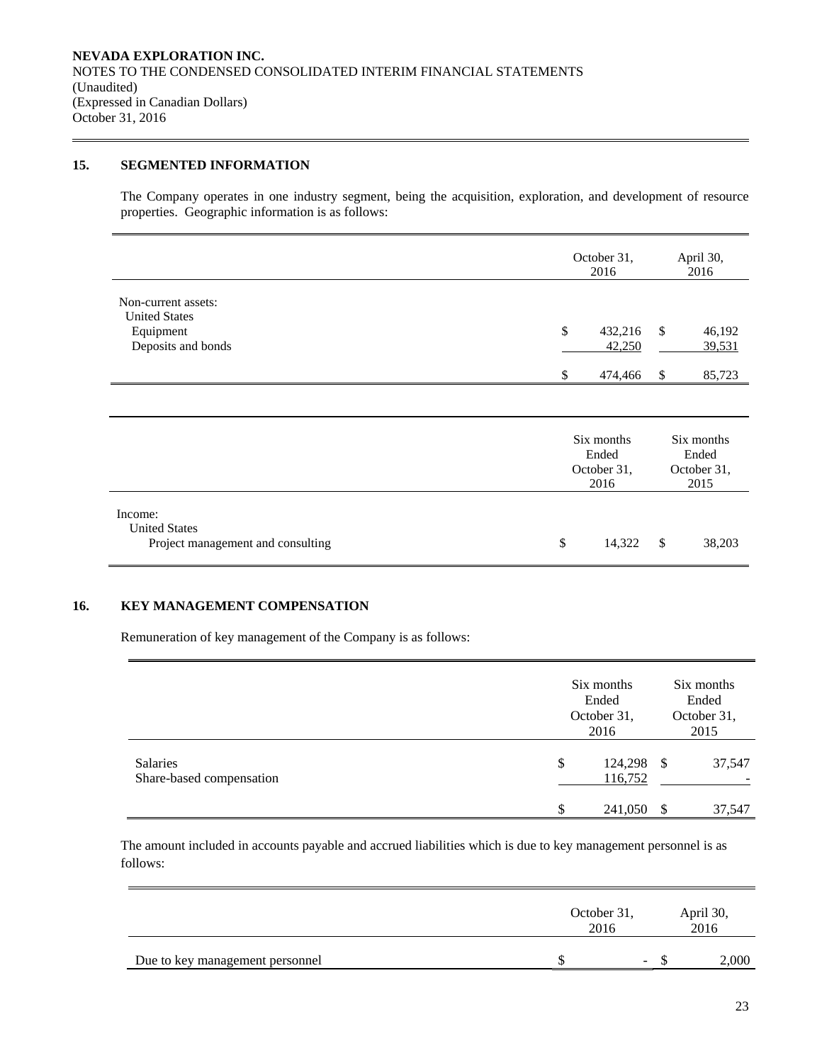# **15. SEGMENTED INFORMATION**

The Company operates in one industry segment, being the acquisition, exploration, and development of resource properties. Geographic information is as follows:

|                                                                                | October 31,<br>2016                        | April 30,<br>2016                                 |  |  |
|--------------------------------------------------------------------------------|--------------------------------------------|---------------------------------------------------|--|--|
| Non-current assets:<br><b>United States</b><br>Equipment<br>Deposits and bonds | \$<br>432,216<br>42,250<br>474,466<br>\$   | $\mathcal{S}$<br>46,192<br>39,531<br>\$<br>85,723 |  |  |
|                                                                                | Six months<br>Ended<br>October 31,<br>2016 | Six months<br>Ended<br>October 31,<br>2015        |  |  |
| Income:<br><b>United States</b><br>Project management and consulting           | \$<br>14,322                               | \$<br>38,203                                      |  |  |

# **16. KEY MANAGEMENT COMPENSATION**

Remuneration of key management of the Company is as follows:

|                                             | Six months<br>Ended<br>October 31,<br>2016 | Six months<br>Ended<br>October 31,<br>2015 |        |  |
|---------------------------------------------|--------------------------------------------|--------------------------------------------|--------|--|
| <b>Salaries</b><br>Share-based compensation | \$<br>124,298<br>116,752                   | - \$                                       | 37,547 |  |
|                                             | 241,050                                    | S                                          | 37,547 |  |

The amount included in accounts payable and accrued liabilities which is due to key management personnel is as follows:

|                                 | October 31,<br>2016 |     |  | April 30,<br>2016 |  |  |
|---------------------------------|---------------------|-----|--|-------------------|--|--|
| Due to key management personnel |                     | $-$ |  | 2,000             |  |  |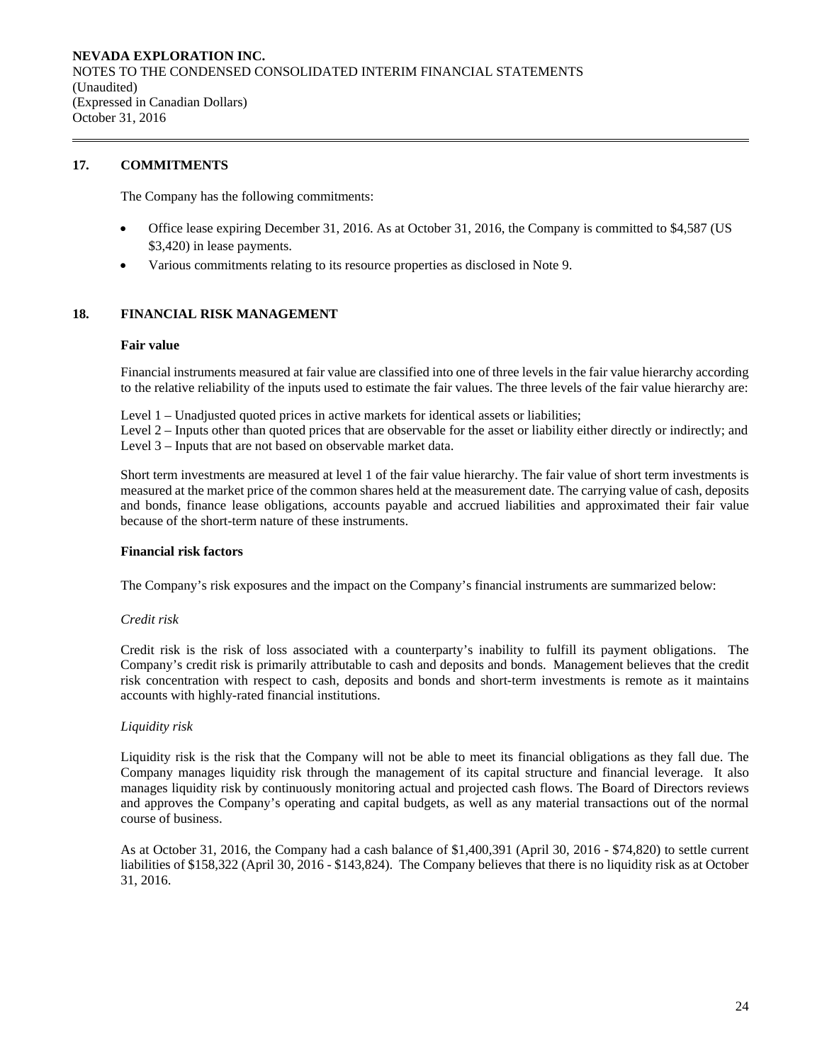# **17. COMMITMENTS**

The Company has the following commitments:

- Office lease expiring December 31, 2016. As at October 31, 2016, the Company is committed to \$4,587 (US \$3,420) in lease payments.
- Various commitments relating to its resource properties as disclosed in Note 9.

# **18. FINANCIAL RISK MANAGEMENT**

#### **Fair value**

Financial instruments measured at fair value are classified into one of three levels in the fair value hierarchy according to the relative reliability of the inputs used to estimate the fair values. The three levels of the fair value hierarchy are:

Level 1 – Unadjusted quoted prices in active markets for identical assets or liabilities;

Level 2 – Inputs other than quoted prices that are observable for the asset or liability either directly or indirectly; and Level 3 – Inputs that are not based on observable market data.

Short term investments are measured at level 1 of the fair value hierarchy. The fair value of short term investments is measured at the market price of the common shares held at the measurement date. The carrying value of cash, deposits and bonds, finance lease obligations, accounts payable and accrued liabilities and approximated their fair value because of the short-term nature of these instruments.

# **Financial risk factors**

The Company's risk exposures and the impact on the Company's financial instruments are summarized below:

# *Credit risk*

 Credit risk is the risk of loss associated with a counterparty's inability to fulfill its payment obligations. The Company's credit risk is primarily attributable to cash and deposits and bonds. Management believes that the credit risk concentration with respect to cash, deposits and bonds and short-term investments is remote as it maintains accounts with highly-rated financial institutions.

# *Liquidity risk*

Liquidity risk is the risk that the Company will not be able to meet its financial obligations as they fall due. The Company manages liquidity risk through the management of its capital structure and financial leverage. It also manages liquidity risk by continuously monitoring actual and projected cash flows. The Board of Directors reviews and approves the Company's operating and capital budgets, as well as any material transactions out of the normal course of business.

As at October 31, 2016, the Company had a cash balance of \$1,400,391 (April 30, 2016 - \$74,820) to settle current liabilities of \$158,322 (April 30, 2016 - \$143,824). The Company believes that there is no liquidity risk as at October 31, 2016.